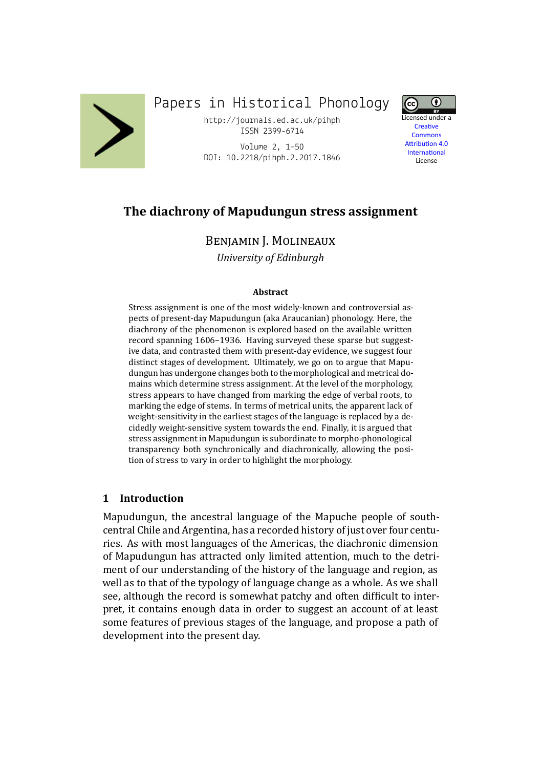

# Papers in Historical Phonology

http://journals.ed.ac.uk/pihph ISSN 2399-6714

Volume 2, 1–50 DOI: 10.2218/pihph.2.2017.1846



**Creative Commons Attribution 4.0 International** License

## **The diachrony of Mapudungun stress assignment**

BENJAMIN J. MOLINEAUX

*University of Edinburgh*

#### **Abstract**

Stress assignment is one of the most widely-known and controversial aspects of present-day Mapudungun (aka Araucanian) phonology. Here, the diachrony of the phenomenon is explored based on the available written record spanning 1606–1936. Having surveyed these sparse but suggestive data, and contrasted them with present-day evidence, we suggest four distinct stages of development. Ultimately, we go on to argue that Mapudungun has undergone changes both to the morphological and metrical domains which determine stress assignment. At the level of the morphology, stress appears to have changed from marking the edge of verbal roots, to marking the edge of stems. In terms of metrical units, the apparent lack of weight-sensitivity in the earliest stages of the language is replaced by a decidedly weight-sensitive system towards the end. Finally, it is argued that stress assignment in Mapudungun is subordinate to morpho-phonological transparency both synchronically and diachronically, allowing the position of stress to vary in order to highlight the morphology.

### **1 Introduction**

Mapudungun, the ancestral language of the Mapuche people of southcentral Chile and Argentina, has a recorded history of just over four centuries. As with most languages of the Americas, the diachronic dimension of Mapudungun has attracted only limited attention, much to the detriment of our understanding of the history of the language and region, as well as to that of the typology of language change as a whole. As we shall see, although the record is somewhat patchy and often difficult to interpret, it contains enough data in order to suggest an account of at least some features of previous stages of the language, and propose a path of development into the present day.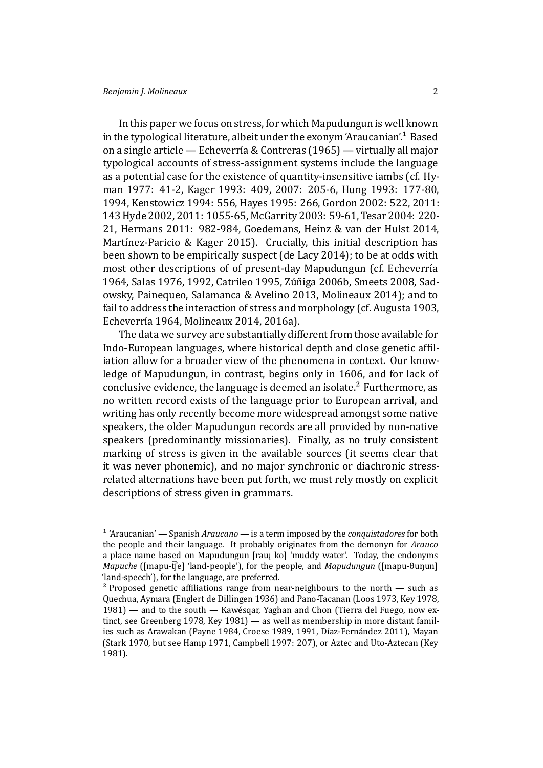In this paper we focus on stress, for which Mapudungun is well known in the typological literature, albeit under the exonym 'Araucanian'.<sup>1</sup> Based on a single article — Echeverría & Contreras (1965) — virtually all major typological accounts of stress-assignment systems include the language as a potential case for the existence of quantity-insensitive iamb[s \(](#page-1-0)cf. Hyman 1977: 41-2, K[ager 1993: 409,](#page-46-0) 2007: 205-6, Hung 1993: 177-80, 1994, Kenstowicz 1994: 556, Hayes 1995: 266, Gordon 2002: 522, 2011: 143Hyde 2002, 2011: 1055-65, McGarrity 2003: 59-61, Tesar 2004: [220-](#page-47-0) 21, [Herma](#page-47-0)ns 201[1: 982-984,](#page-47-1) Goede[mans,](#page-47-2) Heinz [& van der Hu](#page-46-1)lst 2014, Martí[nez-Paricio & Kag](#page-47-4)er 20[15\). Crucia](#page-46-2)lly, th[is initial desc](#page-46-3)riptio[n has](#page-46-4) bee[n shown to](#page-47-5) [be em](#page-47-6)pirically s[uspect \(de Lacy 2](#page-47-7)014); t[o be at odds](#page-49-0) with mo[st other descrip](#page-46-5)tions of of [present-day Mapudungun \(cf.](#page-46-6) Echeverría 1964, Salas 1976, 1992, Catrileo 1995, Zúñiga 2006b, Smeets 2008, Sad[owsky, Painequeo, Salamanca &](#page-47-8) Avelino 2013, Molineaux 2014); and to fail to address the interaction of stress [and morpholog](#page-45-0)y (cf. Au[gusta 1903,](#page-45-1) [Echev](#page-45-1)[errı́a 1964,](#page-48-0) [Moline](#page-48-1)[aux 2014,](#page-45-2) 2016a).

[The data we survey are substantially differe](#page-48-2)[n](#page-49-1)[t from those ava](#page-47-9)[ilabl](#page-49-2)[e for](#page-48-2) Indo-European languages, where historical depth and close genetic affil[iation allow for a](#page-45-1) [broader view of](#page-47-9) [the phe](#page-47-10)nomena in context. Our knowledge of Mapudungun, in contrast, begins only in 1606, and for lack of conclusive evidence, the language is deemed an isolate.² Furthermore, as no written record exists of the language prior to European arrival, and writing has only recently become more widespread amongst some native speakers, the older Mapudungun records are all provi[de](#page-1-1)d by non-native speakers (predominantly missionaries). Finally, as no truly consistent marking of stress is given in the available sources (it seems clear that it was never phonemic), and no major synchronic or diachronic stressrelated alternations have been put forth, we must rely mostly on explicit descriptions of stress given in grammars.

<sup>&</sup>lt;sup>1</sup> 'Araucanian' — Spanish *Araucano* — is a term imposed by the *conquistadores* for both the people and their language. It probably originates from the demonyn for *Arauco* a place name based on Mapudungun [raɰ ko] 'muddy water'. Today, the endonyms *Mapuche* ([mapu-t͡ʃe] 'land-people'), for the people, and *Mapudungun* ([mapu-θuŋun] 'land-speech'), for the language, are preferred.

<span id="page-1-1"></span><span id="page-1-0"></span><sup>&</sup>lt;sup>2</sup> Proposed genetic affiliations range from near-neighbours to the north  $-$  such as Quechua, Aymara (Englert de Dillingen 1936) and Pano-Tacanan (Loos 1973, Key 1978, 1981) — and to the south — Kawésqar, Yaghan and Chon (Tierra del Fuego, now extinct, see Greenberg 1978, Key 1981) — as well as membership in more distant families such as Arawakan (Payne 1984, Croese 1989, 1991, Díaz-Fernández 2011), Mayan (Stark 1970, but see [Hamp 1971,](#page-46-7) Campbell 1997: 207), or Aztec [and Uto-Az](#page-47-11)[tecan \(Key](#page-47-12) [1981\)](#page-47-13).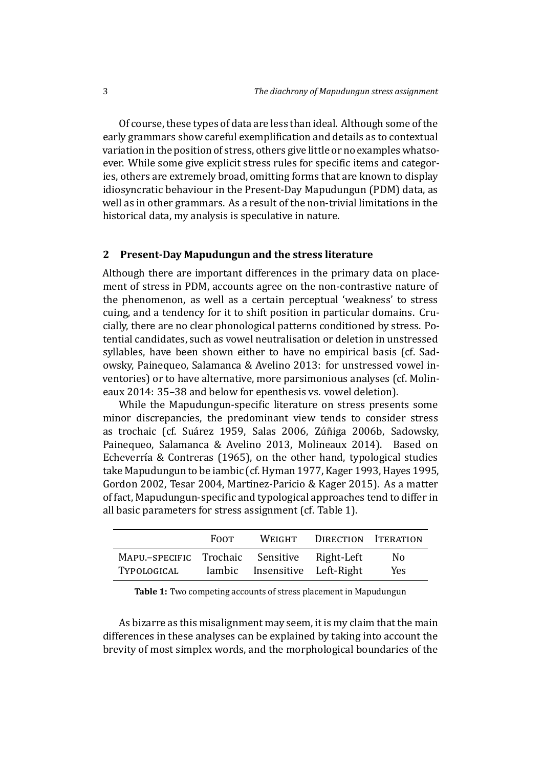Of course, these types of data are less than ideal. Although some of the early grammars show careful exemplification and details as to contextual variation in the position of stress, others give little or no examples whatsoever. While some give explicit stress rules for specific items and categories, others are extremely broad, omitting forms that are known to display idiosyncratic behaviour in the Present-Day Mapudungun (PDM) data, as well as in other grammars. As a result of the non-trivial limitations in the historical data, my analysis is speculative in nature.

#### **2 Present-Day Mapudungun and the stress literature**

Although there are important differences in the primary data on placement of stress in PDM, accounts agree on the non-contrastive nature of the phenomenon, as well as a certain perceptual 'weakness' to stress cuing, and a tendency for it to shift position in particular domains. Crucially, there are no clear phonological patterns conditioned by stress. Potential candidates, such as vowel neutralisation or deletion in unstressed syllables, have been shown either to have no empirical basis (cf. Sadowsky, Painequeo, Salamanca & Avelino 2013: for unstressed vowel inventories) or to have alternative, more parsimonious analyses (cf. Molineaux 2014: 35–38 and below for epenthesis vs. vowel deletion).

While the Mapudungun-specific literature on stress presents s[ome](#page-48-2) minor discrepancies, the predominant view tends to consider [stress](#page-47-9) [as trochai](#page-47-9)c (cf. Suárez 1959, Salas 2006, Zúñiga 2006b, Sadowsky, Painequeo, Salamanca & Avelino 2013, Molineaux 2014). Based on Echeverría & Contreras (1965), on the other hand, typological studies take Mapudungu[n to be iambic](#page-49-3) ([cf.Hyman 19](#page-49-4)77, [Kager 1993,](#page-49-1) H[ayes 1995,](#page-48-2) Gordon 2002, Tesar 2004, Martı́nez-Paric[io & Kager 2015\)](#page-47-9). As a matter of fact, Mapudungun-specific an[d typolog](#page-48-2)ical approaches tend to differ in all basic parameters for stress ass[ignment \(cf. T](#page-47-0)[able](#page-47-1) 1).

|                                                             | <b>FOOT</b> |                               | WEIGHT DIRECTION ITERATION |            |
|-------------------------------------------------------------|-------------|-------------------------------|----------------------------|------------|
| MAPU.-SPECIFIC Trochaic Sensitive Right-Left<br>TYPOLOGICAL |             | Iambic Insensitive Left-Right |                            | No.<br>Yes |

<span id="page-2-0"></span>**Table 1:** Two competing accounts of stress placement in Mapudungun

As bizarre as this misalignment may seem, it is my claim that the main differences in these analyses can be explained by taking into account the brevity of most simplex words, and the morphological boundaries of the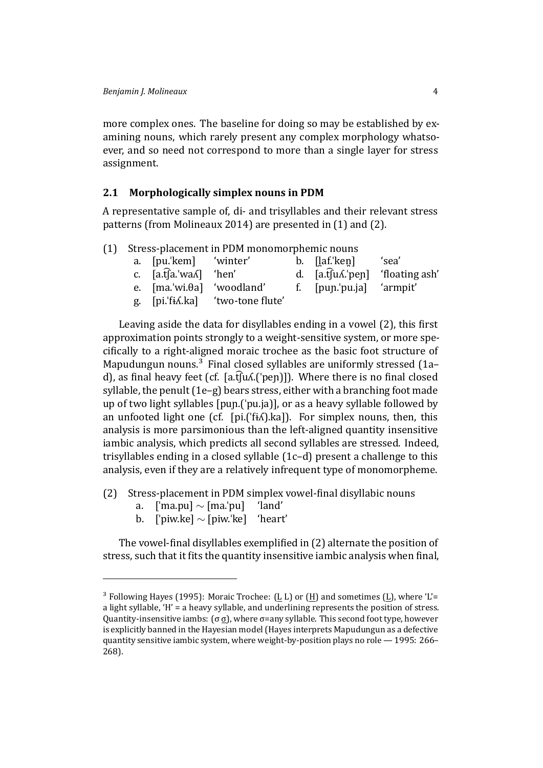more complex ones. The baseline for doing so may be established by examining nouns, which rarely present any complex morphology whatsoever, and so need not correspond to more than a single layer for stress assignment.

### **2.1 Morphologically simplex nouns in PDM**

A representative sample of, di- and trisyllables and their relevant stress patterns (from Molineaux 2014) are presented in (1) and (2).

<span id="page-3-0"></span>(1) Stress-placement in PDM monomorphemic nouns

| a. [pu.'kem] 'winter'                          |                                   | b. [ <u>l</u> af.'ken] 'sea'     |  |
|------------------------------------------------|-----------------------------------|----------------------------------|--|
| c. $[a.\hat{t}[a.\dot{w}a\hat{\Lambda}]$ 'hen' |                                   | d. [a.t͡ʃuʎ.ˈpen] 'floating ash' |  |
|                                                | e. [ma.'wi.θa] 'woodland'         | f. [pun.'pu.ja] 'armpit'         |  |
|                                                | g. [pi.'fi.d.ka] 'two-tone flute' |                                  |  |

Leaving aside the data for disyllables ending in a vowel (2), this first approximation points strongly to a weight-sensitive system, or more specifically to a right-aligned moraic trochee as the basic foot structure of Mapudungun nouns.<sup>3</sup> Final closed syllables are uniformly s[tre](#page-3-0)ssed (1a– d), as final heavy feet (cf. [a.t͡ʃuʎ.('pen)]). Where there is no final closed syllable, the penult (1e–g) bears stress, either with a branching foot made up of two light sylla[bl](#page-3-1)es [puɲ.(ˈpu.ja)], or as a heavy syllable followe[d b](#page-3-0)y an unfooted light one (cf. [pi.( $\exists$ fi $\land$ ).ka]). For simplex nouns, then, this analysis is more pa[rs](#page-3-0)imonious than the left-aligned quantity insensitive iambic analysis, which predicts all second syllables are stressed. Indeed, trisyllables ending in a closed syllable (1c–d) present a challenge to this analysis, even if they are a relatively infrequent type of monomorpheme.

- (2) Stress-placement in PDM simplex [vo](#page-3-0)wel-final disyllabic nouns
	- a. [ˈma.pu] *∼* [ma.ˈpu] 'land'
	- b. [ˈpiw.ke] *∼* [piw.ˈke] 'heart'

The vowel-final disyllables exemplified in (2) alternate the position of stress, such that it fits the quantity insensitive iambic analysis when final,

<span id="page-3-1"></span> $3$  Following Hayes (1995): Moraic Trochee: (L L) or ([H\) a](#page-3-0)nd sometimes (L), where 'L'= a light syllable, 'H' = a heavy syllable, and underlining represents the position of stress. Quantity-insensitive iambs: (σ σ), where σ=any syllable. This second foot type, however is explicitly banned in the Hayesian model (Hayes interprets Mapudungun as a defective quantity se[nsitive iambic s](#page-46-2)ystem, where weight-by-position plays no role — 1995: 266– 268).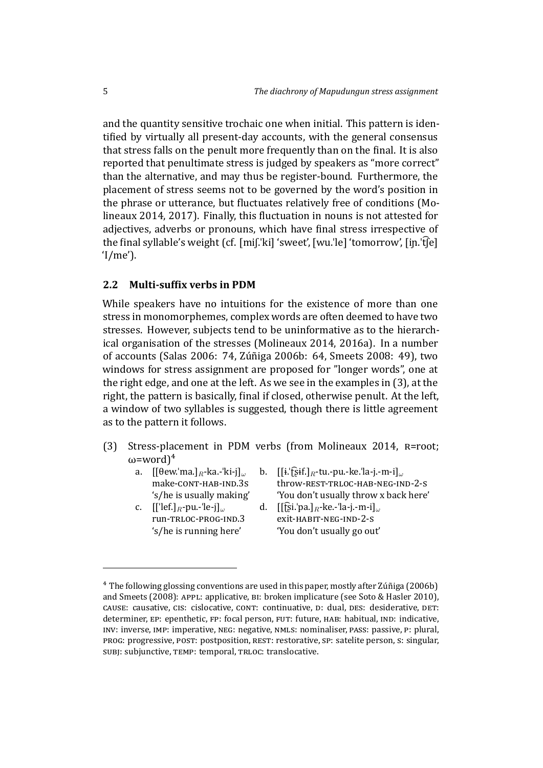and the quantity sensitive trochaic one when initial. This pattern is identified by virtually all present-day accounts, with the general consensus that stress falls on the penult more frequently than on the final. It is also reported that penultimate stress is judged by speakers as "more correct" than the alternative, and may thus be register-bound. Furthermore, the placement of stress seems not to be governed by the word's position in the phrase or utterance, but fluctuates relatively free of conditions (Molineaux 2014, 2017). Finally, this fluctuation in nouns is not attested for adjectives, adverbs or pronouns, which have final stress irrespective of the final syllable's weight (cf. [miʃ.'ki] 'sweet', [wu.'le] 'tomorrow', [in.'t͡ʃe] ['I/me'\).](#page-47-9)

### **2.2** Multi-suffix verbs in PDM

<span id="page-4-1"></span>While speakers have no intuitions for the existence of more than one stress in monomorphemes, complex words are often deemed to have two stresses. However, subjects tend to be uninformative as to the hierarchical organisation of the stresses (Molineaux 2014, 2016a). In a number of accounts (Salas 2006: 74, Zúñiga 2006b: 64, Smeets 2008: 49), two windows for stress assignment are proposed for "longer words", one at the right edge, and one at the left. [As we see in the](#page-47-9) [exampl](#page-47-10)es in (3), at the right, the pat[tern is basic](#page-49-4)ally, final if closed, othe[rwise penult.](#page-49-2) At the left, a window of two syllables is suggested, though there is little agreement as to the pattern it follows.

- (3) Stress-placement in PDM verbs (from Molineaux 2014,  $R = root$ ; ω=word)<sup>4</sup>
	-
	-
	- a. [[θew.ˈma.]*R*-ka.-ˈki-j]*<sup>ω</sup>* b. [[ɨ.ˈʈ͡ʂɨf.]*R*-tu.-pu.-ke.ˈla-j.-m-i]*<sup>ω</sup>* make-CONT-HAB-IND.3S throw-REST-TRLOC-HAB-NEG-IND-2-S 's/he is usually making' 'You don't [usually throw x ba](#page-47-9)ck here'
	- c. [[ˈlef[.\]](#page-4-0)*R*-pu.-ˈle-j]*<sup>ω</sup>* d. [[ʈ͡ʂi.ˈpa.]*R*-ke.-ˈla-j.-m-i]*<sup>ω</sup>* run-TRLOC-PROG-IND.3 exit-HABIT-NEG-IND-2-S 's/he is running here' 'You don't usually go out'

<span id="page-4-0"></span>⁴ The following glossing conventions are used in this paper, mostly after Zúñiga (2006b) and Smeets (2008): APPL: applicative,  $B1$ : broken implicature (see Soto & Hasler 2010), CAUSE: causative, CIS: cislocative, CONT: continuative, D: dual, DES: desiderative, DET: determiner, EP: epenthetic, FP: focal person, FUT: future, HAB: habitual, IND: indicative, INV: inverse, IMP: imperative, NEG: negative, NMLS: nominaliser, PASS: passive, P: plural, PROG: progressive, POST: postposition, REST: restorative, SP: satelite person, S: singular, SUBJ: subjunctive, TEMP: temporal, TRLOC: translocative.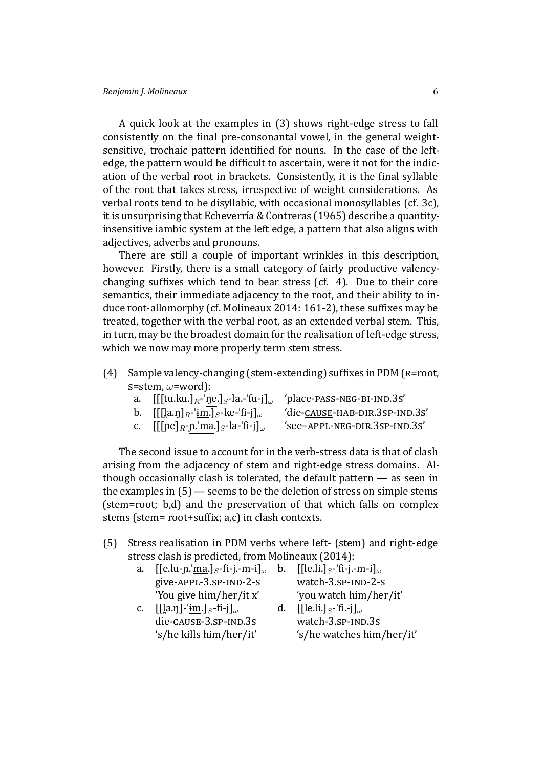A quick look at the examples in (3) shows right-edge stress to fall consistently on the final pre-consonantal vowel, in the general weightsensitive, trochaic pattern identified for nouns. In the case of the leftedge, the pattern would be difficult to [as](#page-4-1)certain, were it not for the indication of the verbal root in brackets. Consistently, it is the final syllable of the root that takes stress, irrespective of weight considerations. As verbal roots tend to be disyllabic, with occasional monosyllables (cf. 3c), it is unsurprising that Echeverría & Contreras (1965) describe a quantityinsensitive iambic system at the left edge, a pattern that also aligns with adjectives, adverbs and pronouns.

There are still a [couple of important wrinkles](#page-46-0) in this descript[io](#page-4-1)n, however. Firstly, there is a small category of fairly productive valencychanging suffixes which tend to bear stress  $(cf. 4)$ . Due to their core semantics, their immediate adjacency to the root, and their ability to induce root-allomorphy (cf. Molineaux 2014: 161-2), these suffixes may be treated, together with the verbal root, as an exten[de](#page-4-1)d verbal stem. This, in turn, may be the broadest domain for the realisation of left-edge stress, which we now may more [properly term](#page-47-9) *stem* stress.

- (4) Sample valency-changing (stem-extending) suffixes in PDM ( $R = root$ , Ę=stem, *ω*=word):
	- a. [[[tu.ku.]<sub>*R*</sub>-'ŋe.]<sub>*S*</sub>-la.-'fu-j]<sub>ω</sub> 'place-<u>PASS</u>-NEG-BI-IND.3S'
	- b.  $[[[\underline{a}.\underline{n}]_R\cdot \underline{i}\underline{m}.\underline{1}_S\cdot \underline{k}e\cdot \underline{f}i\cdot \underline{i}]$ <sub>ω</sub> 'die-<u>CAUSE-HAB-DIR.3SP-IND.3S'</u>
		-
	- c.  $[[[pe]_R \cdot p \cdot ]ma.]_S \cdot la \cdot 'fi \cdot j]$ <sub>ω</sub> 'see–<u>APPL</u>-NEG-DIR.3SP-IND.3S'
		-

The second issue to account for in the verb-stress data is that of clash arising from the adjacency of stem and right-edge stress domains. Although occasionally clash is tolerated, the default pattern — as seen in the examples in (5) — seems to be the deletion of stress on simple stems (stem=root; b,d) and the preservation of that which falls on complex stems (stem= root+suffix; a,c) in clash contexts.

- (5) Stress reali[sa](#page-4-1)tion in PDM verbs where left- (stem) and right-edge stress clash is predicted, from Molineaux (2014):
	- a. [[e.lu-ɲ.ˈma.]*S*-ϐi-j.-m-i]*<sup>ω</sup>* b. [[le.li.]*S*-ˈϐi-j.-m-i]*<sup>ω</sup>*  $give-APPL-3. SP-IND-2-s$  watch-3. $SP-IND-2-s$ 'You give him/her/it x' ['you watch h](#page-47-9)im/her/it'
	- c. [[l̪a.ŋ]-ˈɨm.]*S*-ϐi-j]*<sup>ω</sup>* d. [[le.li.]*S*-ˈϐi.-j]*<sup>ω</sup>*  $die-cause-3.sP-IND.3s$  watch-3. $SP-IND.3s$
- - 's/he kills him/her/it' 's/he watches him/her/it'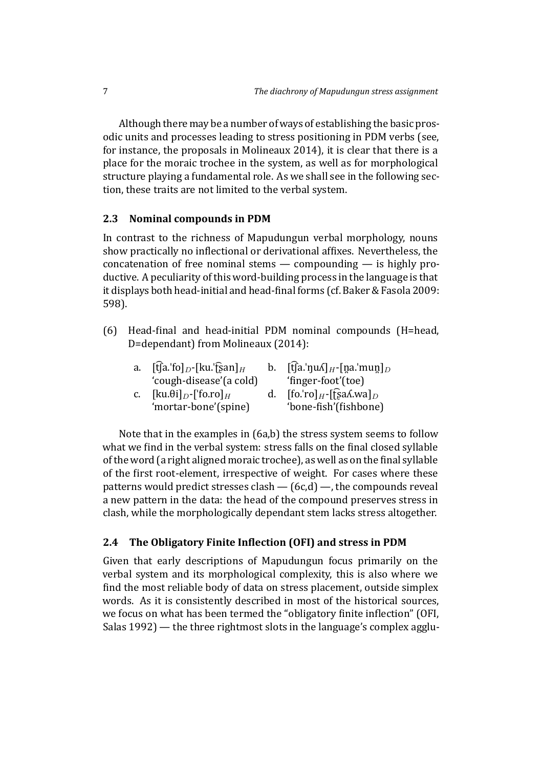Although there may be a number of ways of establishing the basic prosodic units and processes leading to stress positioning in PDM verbs (see, for instance, the proposals in Molineaux 2014), it is clear that there is a place for the moraic trochee in the system, as well as for morphological structure playing a fundamental role. As we shall see in the following section, these traits are not limit[ed to the verbal sy](#page-47-9)stem.

### **2.3 Nominal compounds in PDM**

<span id="page-6-0"></span>In contrast to the richness of Mapudungun verbal morphology, nouns show practically no inflectional or derivational affixes. Nevertheless, the concatenation of free nominal stems — compounding — is highly productive. A peculiarity of this word-building process in the language is that it displays both head-initial and head-final forms (cf. Baker & Fasola 2009: 598).

(6) Head-final and head-initial PDM nominal c[ompounds \(H=head](#page-45-4), D=dependant) from Molineaux (2014):

| a.      | $[\mathfrak{f}]$ a.'fo] <sub>D</sub> -[ku.'fsan] <sub>H</sub> | $\mathbf{b}$ . | $[\mathfrak{f}]$ a.'nu $\Lambda$   <sub>H</sub> -[na.'mun] <sub>D</sub> |
|---------|---------------------------------------------------------------|----------------|-------------------------------------------------------------------------|
|         | 'cough-disease'(a cold)                                       |                | 'finger-foot'(toe)                                                      |
| $C_{1}$ | $[\text{ku.}\theta\text{i}]_D$ - $[\text{f}$ o.ro $]_H$       | d.             | $[$ fo.'ro] <sub>H</sub> -[f͡ʂaʎ.wa] <sub>D</sub>                       |
|         | 'mortar-bone'(spine)                                          |                | 'bone-fish'(fishbone)                                                   |

Note that in the examples in (6a,b) the stress system seems to follow what we find in the verbal system: stress falls on the final closed syllable of the word (a right aligned moraic trochee), as well as on the final syllable of the first root-element, irrespe[ct](#page-6-0)ive of weight. For cases where these patterns would predict stresses clash  $-$  (6c,d)  $-$ , the compounds reveal a new pattern in the data: the head of the compound preserves stress in clash, while the morphologically dependant stem lacks stress altogether.

### **2.4 The Obligatory Finite Inϐlection([OF](#page-6-0)I) and stress in PDM**

Given that early descriptions of Mapudungun focus primarily on the verbal system and its morphological complexity, this is also where we find the most reliable body of data on stress placement, outside simplex words. As it is consistently described in most of the historical sources, we focus on what has been termed the "obligatory finite inflection" (OFI, Salas 1992) — the three rightmost slots in the language's complex agglu-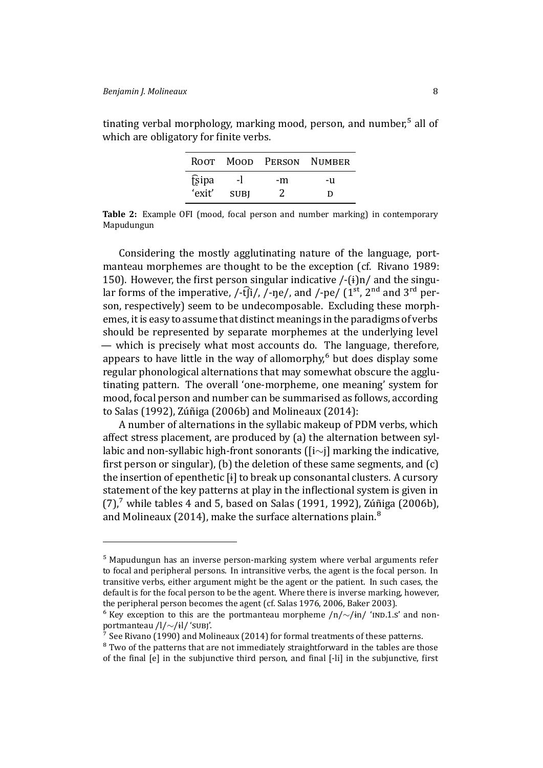|        |             |    | ROOT MOOD PERSON NUMBER |
|--------|-------------|----|-------------------------|
| fsipa  | $-1$        | -m | -11                     |
| 'exit' | <b>SUBI</b> | 2  | D                       |

tinating verbal morphology, marking mood, person, and number, $5$  all of which are obligatory for finite verbs.

**Table 2:** Example OFI (mood, focal person and number marking) in contemporary Mapudungun

Considering the mostly agglutinating nature of the language, portmanteau morphemes are thought to be the exception (cf. Rivano 1989: 150). However, the first person singular indicative  $\frac{\mu}{i}$  and the singular forms of the imperative, /-t͡ $\hat{I}$ i/, /-ne/, and /-pe/ (1<sup>st</sup>, 2<sup>nd</sup> and 3<sup>rd</sup> person, respectively) seem to be undecomposable. Excluding [these morph](#page-48-3)emes, it is easy to assume that distinct meanings in the paradigms of verbs should be represented by separate morphemes at the underlying level — which is precisely what most accounts do. The language, therefore, appears to have little in the way of allomorphy, $6$  but does display some regular phonological alternations that may somewhat obscure the agglutinating pattern. The overall 'one-morpheme, one meaning' system for mood, focal person and number can be summari[se](#page-7-0)d as follows, according to Salas (1992), Zúñiga (2006b) and Molineaux (2014):

A number of alternations in the syllabic makeup of PDM verbs, which affect stress placement, are produced by (a) the alternation between sylla[bic and non-s](#page-48-1)[yllabic high-front](#page-49-1) sonorants ([i*∼*j] marking the indicative, first person or singular), (b) the dele[tion of these same](#page-47-9) segments, and  $(c)$ the insertion of epenthetic [ɨ] to break up consonantal clusters. A cursory statement of the key patterns at play in the inflectional system is given in  $(7)$ , while tables 4 and 5, based on Salas (1991, 1992), Zúñiga (2006b), and Molineaux (2014), make the surface alternations plain. $^8$ 

<sup>&</sup>lt;sup>5</sup> Ma[pudungun has an inve](#page-47-9)rse person-marking system where verbal [ar](#page-7-1)guments refer to focal and peripheral persons. In intransitive verbs, the agent is the focal person. In transitive verbs, either argument might be the agent or the patient. In such cases, the default is for the focal person to be the agent. Where there is inverse marking, however, the peripheral person becomes the agent (cf. Salas 1976, 2006, Baker 2003).

<sup>&</sup>lt;sup>6</sup> Key exception to this are the portmanteau morpheme /n/∼/ɨn/ '<sub>ND</sub>.1.<sub>S</sub>' and nonportmanteau /l/∼/ɨl/ 's∪BJ'.

 $\frac{7}{7}$  See Rivano (1990) and Molineaux (2014) for formal treatments of these patterns.

<span id="page-7-1"></span><span id="page-7-0"></span><sup>&</sup>lt;sup>8</sup> Two of the patterns that are not immediat[ely straightf](#page-48-0)[orwar](#page-49-4)[d in the table](#page-45-5)s are those of the final [e] in the subjunctive third person, and final [-li] in the subjunctive, first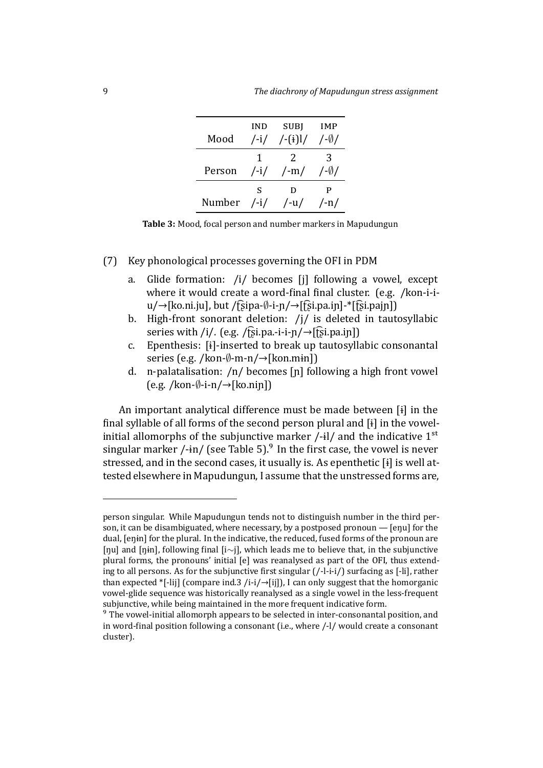| Mood   | IND             | SUBJ                 | IMP                |
|--------|-----------------|----------------------|--------------------|
|        | $/$ -i $/$      | $/-(i)$              | /-Ø/               |
| Person | 1               | $\mathcal{L}$        | З                  |
|        | $/$ -i $/$      | $\frac{1}{\text{m}}$ | $/$ - $\emptyset/$ |
| Number | S<br>$/$ -i $/$ | D<br>$/$ -u $/$      | $/$ -n $/$         |

**Table 3:** Mood, focal person and number markers in Mapudungun

### (7) Key phonological processes governing the OFI in PDM

- <span id="page-8-0"></span>a. Glide formation: /i/ becomes [j] following a vowel, except where it would create a word-final final cluster. (e.g. /kon-i-iu/→[ko.ni.ju], but /ʈ͡ʂipa-*∅*-i-ɲ/→[ʈ͡ʂi.pa.iɲ]-\*[ʈ͡ʂi.pajɲ])
- b. High-front sonorant deletion: /j/ is deleted in tautosyllabic series with /i/. (e.g. /f͡si.pa.-i-i-n/ $\rightarrow$ [f͡si.pa.in])
- c. Epenthesis: [ɨ]-inserted to break up tautosyllabic consonantal series (e.g. /kon-*∅*-m-n/→[kon.mɨn])
- d. n-palatalisation: /n/ becomes [ɲ] following a high front vowel (e.g. /kon-*∅*-i-n/→[ko.niɲ])

An important analytical difference must be made between [ɨ] in the final syllable of all forms of the second person plural and  $[i]$  in the vowelinitial allomorphs of the subjunctive marker  $/$ -il/ and the indicative  $1<sup>st</sup>$ singular marker  $/\text{-in}/$  (see Table 5).<sup>9</sup> In the first case, the vowel is never stressed, and in the second cases, it usually is. As epenthetic [ɨ] is well attested elsewhere in Mapudungun, I assume that the unstressed forms are,

person singular. While Mapudungun tends not to distinguish number in the third person, it can be disambiguated, where necessary, by a postposed pronoun — [eŋu] for the dual, [eŋɨn] for the plural. In the indicative, the reduced, fused forms of the pronoun are [ŋu] and [ŋɨn], following ϐinal [i*∼*j], which leads me to believe that, in the subjunctive plural forms, the pronouns' initial [e] was reanalysed as part of the OFI, thus extending to all persons. As for the subjunctive first singular (/-l-i-i/) surfacing as [-li], rather than expected \*[-lij] (compare ind.3 /i-i/ $\rightarrow$ [ij]), I can only suggest that the homorganic vowel-glide sequence was historically reanalysed as a single vowel in the less-frequent subjunctive, while being maintained in the more frequent indicative form.

<sup>&</sup>lt;sup>9</sup> The vowel-initial allomorph appears to be selected in inter-consonantal position, and in word-final position following a consonant (i.e., where  $/$ -l/ would create a consonant cluster).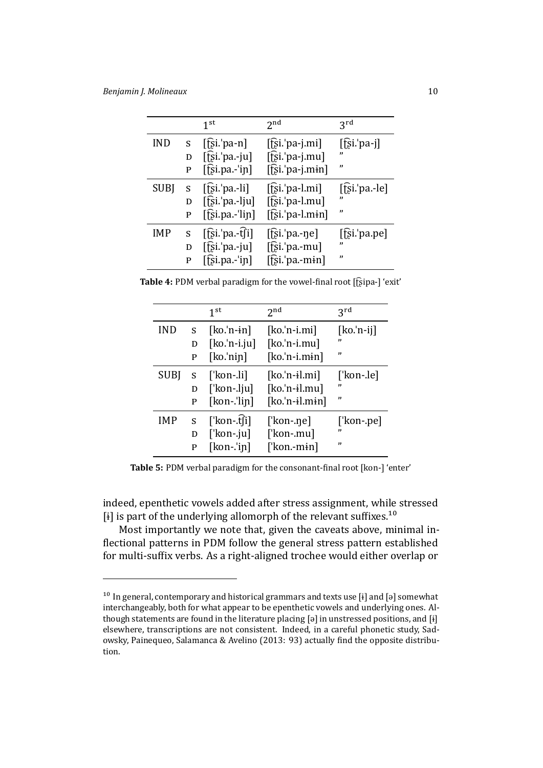|             |   | 1 <sup>st</sup>        | 2 <sub>nd</sub>                | 3 <sup>rd</sup>       |
|-------------|---|------------------------|--------------------------------|-----------------------|
| <b>IND</b>  | S | $[$ [si. $'$ pa-n]     | $[\hat{E}$ si.'pa-j.mi]        | $[f$ si.'pa-j]        |
|             | D | $[\hat{E}$ si.'pa.-ju] | $[\hat{E}$ si.'pa-j.mu]        | "                     |
|             | P | $[$ [si.pa.- $'$ in]   | $[\hat{E}$ si.'pa-j.min]       | ,,                    |
| <b>SUBJ</b> | S | $[$ [si. $'$ pa.-li]   | $[$ [si. <sup>'</sup> pa-l.mi] | $[$ [si. $'$ pa.-le]  |
|             | D | $[f̄s̃i.'pa.-lju]$     | [t͡si.'pa-l.mu]                | "                     |
|             | P | $[f$ si.pa.-'lin]      | $[\hat{E}$ si.'pa-l.min]       | "                     |
| <b>IMP</b>  | S | $[f$ si. pa.-t $f$ i]  | $[$ tsi 'pa.- $\eta$ e]        | $[\hat{E}$ si.'pa.pe] |
|             | D | $[f̃s̃i.'pa.-ju]$      | $[\hat{E}$ si.'pa.-mu]         | "                     |
|             | P | $[\hat{fs}$ i.pa.-'in] | $[\hat{E}$ si.'pa.-min]        | ,,                    |

Table 4: PDM verbal paradigm for the vowel-final root [f͡ʂipa-] 'exit'

|             |    | 1 <sup>st</sup> | $2^{nd}$         | $2^{\text{rd}}$ |
|-------------|----|-----------------|------------------|-----------------|
| <b>IND</b>  | S. | $[ko.'n-in]$    | $[ko.'n-i.mi]$   | $[ko.'n-ij]$    |
|             | D  | $[ko.'n-i.ju]$  | $[ko.'n-i.mu]$   | ,,              |
|             | P  | $[ko$ .'nin]    | $[ko.'n-i.m:n]$  | $\mathbf{v}$    |
| <b>SUBI</b> | S  | [ˈkon-.li]      | $[ko.'n-i].mi]$  | [ˈkon-.le]      |
|             | D  | ['kon-.lju]     | $[ko.'n-i].mu]$  | "               |
|             | P  | $[kon-!lip]$    | $[ko.'n-i].min]$ | ,,              |
| <b>IMP</b>  | S  | [ˈkon-.t͡ʃi]    | [ˈkon-.ne]       | ['kon-.pe]      |
|             | D  | [' $kon$ -.ju]  | [ˈkon-.mu]       | ,,              |
|             | P  | $[kon-1]$       | [ˈkon.-mɨn]      | ,,              |

Table 5: PDM verbal paradigm for the consonant-final root [kon-] 'enter'

indeed, epenthetic vowels added after stress assignment, while stressed [ $\pm$ ] is part of the underlying allomorph of the relevant suffixes.<sup>10</sup>

Most importantly we note that, given the caveats above, minimal inflectional patterns in PDM follow the general stress pattern established for multi-suffix verbs. As a right-aligned trochee would either [ov](#page-9-0)erlap or

<span id="page-9-0"></span> $10$  In general, contemporary and historical grammars and texts use [i] and [a] somewhat interchangeably, both for what appear to be epenthetic vowels and underlying ones. Although statements are found in the literature placing [ə] in unstressed positions, and [ɨ] elsewhere, transcriptions are not consistent. Indeed, in a careful phonetic study, Sadowsky, Painequeo, Salamanca & Avelino (2013: 93) actually find the opposite distribution.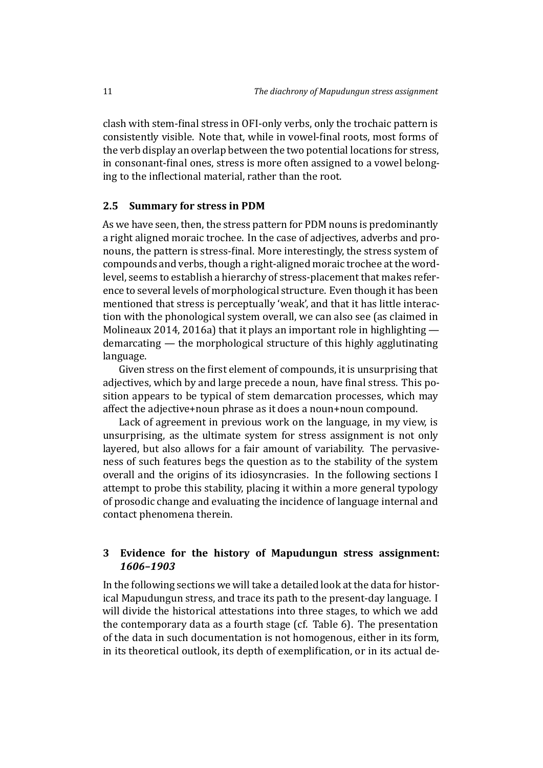clash with stem-final stress in OFI-only verbs, only the trochaic pattern is consistently visible. Note that, while in vowel-final roots, most forms of the verb display an overlap between the two potential locations for stress, in consonant-final ones, stress is more often assigned to a vowel belonging to the inflectional material, rather than the root.

### **2.5 Summary for stress in PDM**

As we have seen, then, the stress pattern for PDM nouns is predominantly a right aligned moraic trochee. In the case of adjectives, adverbs and pronouns, the pattern is stress-final. More interestingly, the stress system of compounds and verbs, though a right-aligned moraic trochee at the wordlevel, seems to establish a hierarchy of stress-placement that makes reference to several levels of morphological structure. Even though it has been mentioned that stress is perceptually 'weak', and that it has little interaction with the phonological system overall, we can also see (as claimed in Molineaux 2014, 2016a) that it plays an important role in highlighting demarcating — the morphological structure of this highly agglutinating language.

[Given stress o](#page-47-9)n the first element of compounds, it is unsurprising that adjectives, which by and large precede a noun, have final stress. This position appears to be typical of stem demarcation processes, which may affect the adjective+noun phrase as it does a noun+noun compound.

Lack of agreement in previous work on the language, in my view, is unsurprising, as the ultimate system for stress assignment is not only layered, but also allows for a fair amount of variability. The pervasiveness of such features begs the question as to the stability of the system overall and the origins of its idiosyncrasies. In the following sections I attempt to probe this stability, placing it within a more general typology of prosodic change and evaluating the incidence of language internal and contact phenomena therein.

### **3 Evidence for the history of Mapudungun stress assignment:** *1606–1903*

In the following sections we will take a detailed look at the data for historical Mapudungun stress, and trace its path to the present-day language. I will divide the historical attestations into three stages, to which we add the contemporary data as a fourth stage (cf. Table 6). The presentation of the data in such documentation is not homogenous, either in its form, in its theoretical outlook, its depth of exemplification, or in its actual de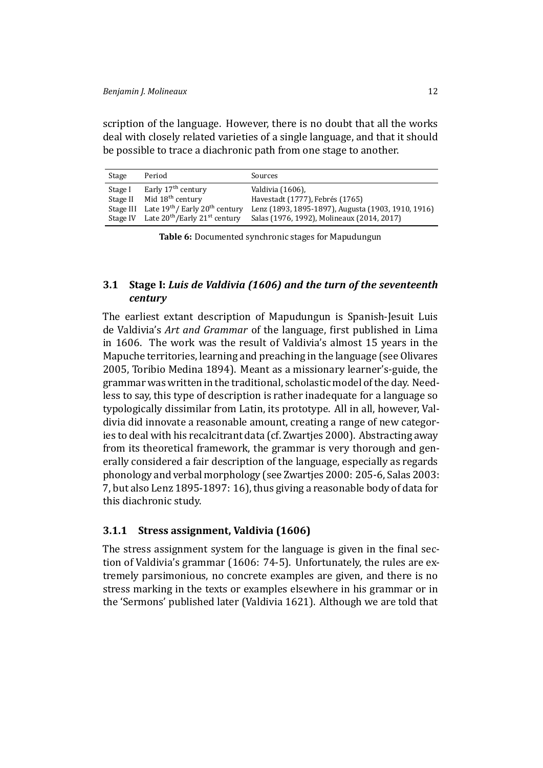scription of the language. However, there is no doubt that all the works deal with closely related varieties of a single language, and that it should be possible to trace a diachronic path from one stage to another.

| Stage    | Period                                                         | Sources                                            |
|----------|----------------------------------------------------------------|----------------------------------------------------|
| Stage I  | Early 17 <sup>th</sup> century                                 | Valdivia (1606).                                   |
| Stage II | Mid 18 <sup>th</sup> century                                   | Havestadt (1777), Febrés (1765)                    |
|          | Stage III Late $19th$ Early $20th$ century                     | Lenz (1893, 1895-1897), Augusta (1903, 1910, 1916) |
|          | Stage IV Late 20 <sup>th</sup> /Early 21 <sup>st</sup> century | Salas (1976, 1992), Molineaux (2014, 2017)         |

**Table 6:** Documented s[ynchronic stag](#page-49-6)[e](#page-46-8)[s for Mapudun](#page-46-9)gun

### **3.1 Stage I:** *Luis de Valdivia (1606) and the turn of the seventeenth century*

The earliest extant description of Mapudungun is Spanish-Jesuit Luis de Valdivia's *Art and Grammar* of the language, first published in Lima in 1606. The work was the result of Valdivia's almost 15 years in the Mapuche territories, learning and preaching in the language (see Olivares 2005, Toribio Medina 1894). Meant as a missionary learner's-guide, the grammar was written in the traditional, scholastic model of the day. Needless to say, this type of description is rather inadequate for a lan[guage so](#page-48-4) [typol](#page-48-4)[ogically dissimilar from](#page-49-7) Latin, its prototype. All in all, however, Valdivia did innovate a reasonable amount, creating a range of new categories to deal with his recalcitrant data (cf. Zwartjes 2000). Abstracting away from its theoretical framework, the grammar is very thorough and generally considered a fair description of the language, especially as regards phonology and verbal morphology (see [Zwartjes 2000](#page-49-8): 205-6, Salas 2003: 7, but also Lenz 1895-1897: 16), thus giving a reasonable body of data for this diachronic study.

### **3.1.1 St[ress assignment](#page-47-14), Valdivia ([1606\)](#page-49-8)**

<span id="page-11-0"></span>The stress assignment system for the language is given in the final section of Valdivia's grammar (1606: 74-5). Unfortunately, the rules are extremely parsimonious, no concrete examples are given, and there is no stress marking in the texts or examples elsewhere in his grammar or in the 'Sermons' published lat[er \(Va](#page-49-6)ldivia 1621). Although we are told that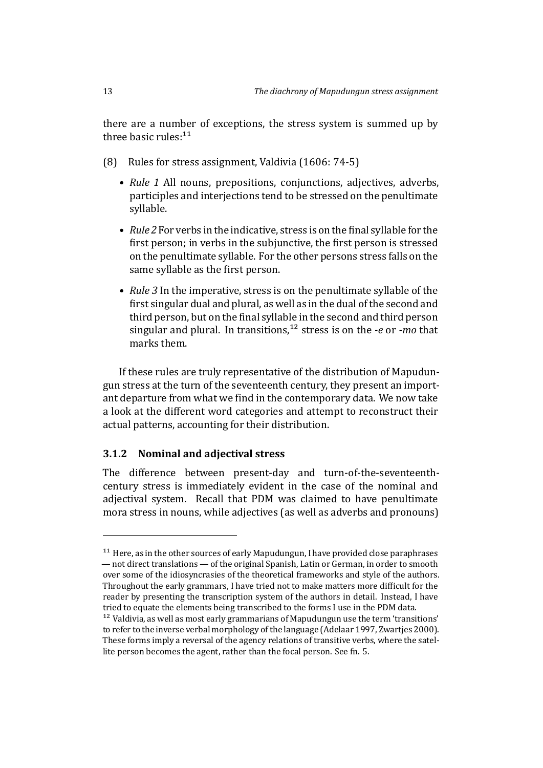there are a number of exceptions, the stress system is summed up by three basic rules: $11$ 

- (8) Rules for stress assignment, Valdivia (1606: 74-5)
	- *Rule 1* All [no](#page-12-0)uns, prepositions, conjunctions, adjectives, adverbs, participles and interjections [tend to be stre](#page-49-6)ssed on the penultimate syllable.
	- *Rule 2* For verbs in the indicative, stress is on the final syllable for the first person; in verbs in the subjunctive, the first person is stressed on the penultimate syllable. For the other persons stress falls on the same syllable as the first person.
	- *Rule 3* In the imperative, stress is on the penultimate syllable of the first singular dual and plural, as well as in the dual of the second and third person, but on the final syllable in the second and third person singular and plural. In transitions,<sup>12</sup> stress is on the *-e* or *-mo* that marks them.

If these rules are truly representativ[e o](#page-12-1)f the distribution of Mapudungun stress at the turn of the seventeenth century, they present an important departure from what we find in the contemporary data. We now take a look at the different word categories and attempt to reconstruct their actual patterns, accounting for their distribution.

### **3.1.2 Nominal and adjectival stress**

The difference between present-day and turn-of-the-seventeenthcentury stress is immediately evident in the case of the nominal and adjectival system. Recall that PDM was claimed to have penultimate mora stress in nouns, while adjectives (as well as adverbs and pronouns)

 $11$  Here, as in the other sources of early Mapudungun, I have provided close paraphrases — not direct translations — of the original Spanish, Latin or German, in order to smooth over some of the idiosyncrasies of the theoretical frameworks and style of the authors. Throughout the early grammars, I have tried not to make matters more difficult for the reader by presenting the transcription system of the authors in detail. Instead, I have tried to equate the elements being transcribed to the forms I use in the PDM data.

<span id="page-12-1"></span><span id="page-12-0"></span> $12$  Valdivia, as well as most early grammarians of Mapudungun use the term 'transitions' to refer to the inverse verbal morphology of the language (Adelaar 1997, Zwartjes 2000). These forms imply a reversal of the agency relations of transitive verbs, where the satellite person becomes the agent, rather than the focal person. See fn. 5.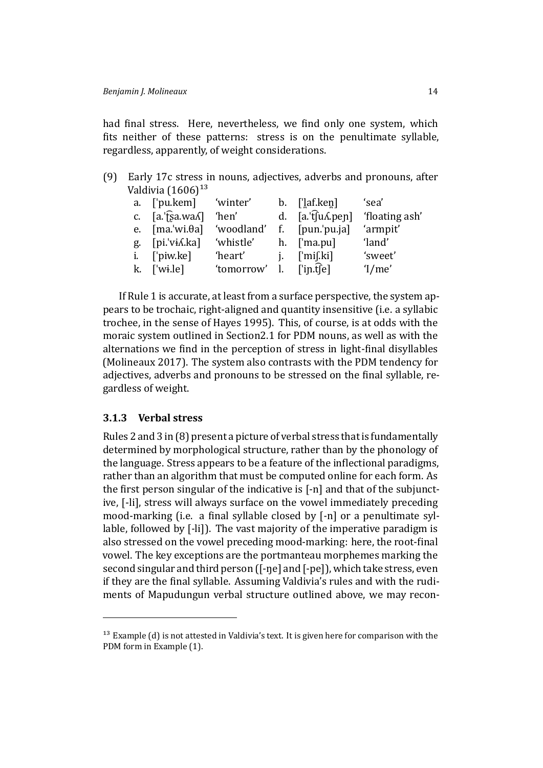had final stress. Here, nevertheless, we find only one system, which fits neither of these patterns: stress is on the penultimate syllable, regardless, apparently, of weight considerations.

| (9) Early 17c stress in nouns, adjectives, adverbs and pronouns, after |
|------------------------------------------------------------------------|
| Valdivia $(1606)^{13}$                                                 |

| a. ['pu.kem] 'winter'              |                          | b. $\left[\frac{1}{2}af\right].\text{keq}$          | 'sea'    |
|------------------------------------|--------------------------|-----------------------------------------------------|----------|
| c. $[a$ . [sa.wa $\Lambda$ ]       | 'hen'                    | d. $[a, \hat{t}]$ u $\Lambda$ . pen] 'floating ash' |          |
| e. $[ma.'wi.\theta a]$ 'woodland'  |                          | f. [pun.'pu.ja]                                     | 'armpit' |
| g. [pi.'vi <i>l</i> .ka] 'whistle' |                          | h. ['ma.pu]                                         | 'land'   |
| i. ['piw.ke]                       | 'heart'                  | $i.$ ['mi[.ki]                                      | 'sweet'  |
| $k.$ ['wi.le]                      | 'tomorrow' l. ['in.t͡[e] |                                                     | 1/me'    |

If Rule 1 is accurate, at least from a surface perspective, the system appears to be trochaic, right-aligned and quantity insensitive (i.e. a syllabic trochee, in the sense of Hayes 1995). This, of course, is at odds with the moraic system outlined in Section2.1 for PDM nouns, as well as with the alternations we find in the perception of stress in light-final disyllables (Molineaux 2017). The [system also](#page-46-2) contrasts with the PDM tendency for adjectives, adverbs and pronouns [to b](#page-3-0)e stressed on the final syllable, regardless of weight.

### **[3.1.3 Verbal str](#page-48-5)ess**

Rules 2 and 3 in (8) present a picture of verbal stress that is fundamentally determined by morphological structure, rather than by the phonology of the language. Stress appears to be a feature of the inflectional paradigms, rather than an al[go](#page-11-0)rithm that must be computed online for each form. As the first person singular of the indicative is [-n] and that of the subjunctive, [-li], stress will always surface on the vowel immediately preceding mood-marking (i.e. a final syllable closed by [-n] or a penultimate syllable, followed by [*-*li]). The vast majority of the imperative paradigm is also stressed on the vowel preceding mood-marking: here, the root-final vowel. The key exceptions are the portmanteau morphemes marking the second singular and third person ([-ne] and [-pe]), which take stress, even if they are the final syllable. Assuming Valdivia's rules and with the rudiments of Mapudungun verbal structure outlined above, we may recon-

<span id="page-13-0"></span> $13$  Example (d) is not attested in Valdivia's text. It is given here for comparison with the PDM form in Example (1).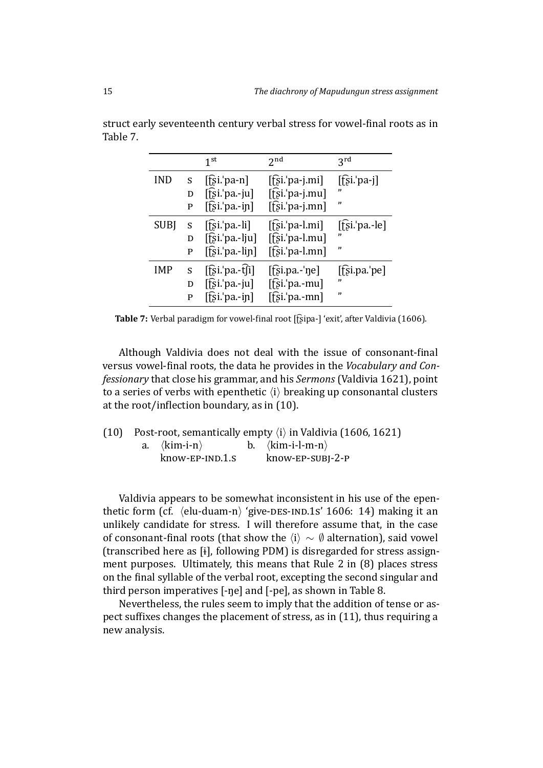|             |   | 1 <sup>st</sup>                             | 2 <sub>nd</sub>         | 3 <sup>rd</sup>       |
|-------------|---|---------------------------------------------|-------------------------|-----------------------|
| <b>IND</b>  | S | $[\hat{E}$ si.'pa-n]                        | $[\hat{E}$ si.'pa-j.mi] | $[\hat{E}$ si.'pa-j]  |
|             | D | $\left[\hat{E}$ si.'pa.-ju]                 | $[\hat{E}$ si.'pa-j.mu] | "                     |
|             | P | $[f̃; ī$ 'pa.-in]                           | $[\hat{E}$ si.'pa-j.mn] | "                     |
| <b>SUBJ</b> | S | [fsi.png                                    | $[$ fsi.'pa-l.mi]       | $[$ [si. $'$ pa.-le]  |
|             | D | $[f̄s̃i.'pa.-lju]$                          | [t͡si.'pa-l.mu]         | ,,                    |
|             | P | $[f̄s̃ī$ 'pa.-lin]                          | $[f]$ si.'pa-l.mn]      | "                     |
| IMP         | S | $\left[\hat{fsi}$ . pa.-t $\hat{f}i\right]$ | $[$ [si.pa.-'ne]        | $[\hat{z}]$ i.pa.'pe] |
|             | D | $[f̃si$ : pa.-ju]                           | $[f]$ si.'pa.-mu]       | "                     |
|             | P | $[f$ si.'pa.-in]                            | $[f\sin b]$ pa.-mn]     | "                     |

struct early seventeenth century verbal stress for vowel-final roots as in Table 7.

Table 7: Verbal paradigm for vowel-final root [f͡ʂipa-] 'exit', after Valdivia (1606).

<span id="page-14-0"></span>Although Valdivia does not deal with the issue of consonant-final versus vowel-ϐinal roots, the data he provides in the *Voc[abulary and C](#page-49-6)onfessionary* that close his grammar, and his *Sermons* (Valdivia 1621), point to a series of verbs with epenthetic *⟨*i*⟩* breaking up consonantal clusters at the root/inflection boundary, as in (10).

(10) Post-root, semantically empty  $\langle i \rangle$  in Valdivia [\(1606,](#page-49-9) 1621)<br>a.  $\langle \text{kim-i-n} \rangle$  b.  $\langle \text{kim-i-l-m-n} \rangle$ a. *⟨*kim-i-n*⟩* b. *⟨*ki[m-i](#page-14-0)-l-m-n*⟩* know-EP-SUBI-2-P

Valdivia appears to be somewhat inconsistent in his use of the epenthetic form (cf.  $\langle$ elu-duam-n $\rangle$  'give-DES-IND.1s' 1606: 14) making it an unlikely candidate for stress. I will therefore assume that, in the case of consonant-ϐinal roots (that show the *⟨*i*⟩ ∼ ∅* alternation), said vowel (transcribed here as [ɨ], following PDM) is disre[garde](#page-49-6)d for stress assignment purposes. Ultimately, this means that Rule 2 in (8) places stress on the final syllable of the verbal root, excepting the second singular and third person imperatives [-ŋe] and [-pe], as shown in Table 8.

Nevertheless, the rules seem to imply that the additi[on](#page-11-0) of tense or aspect suffixes changes the placement of stress, as in  $(11)$ , thus requiring a new analysis.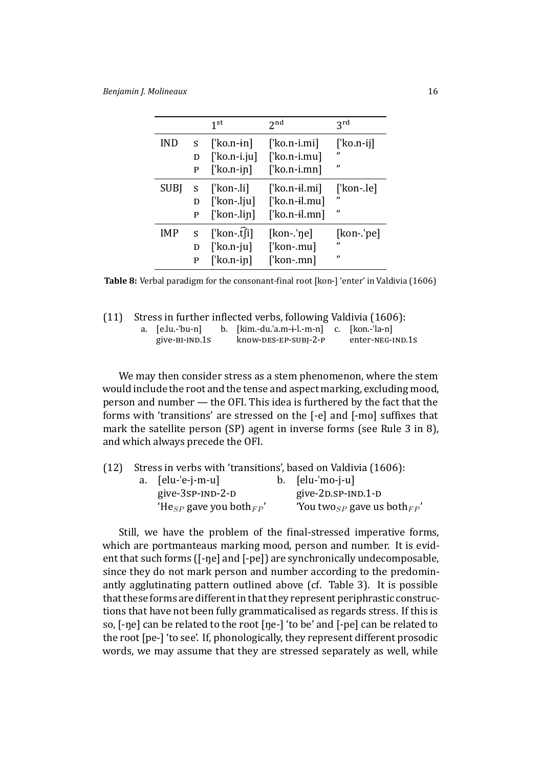|             |         | 1 <sup>st</sup>         | 2 <sub>nd</sub>       | $2^{\text{rd}}$    |
|-------------|---------|-------------------------|-----------------------|--------------------|
| <b>IND</b>  | S.      | ['ko.n- $\mathbf{in}$ ] | $\lceil$ 'ko.n-i.mi]  | $\lceil$ 'ko.n-ij] |
|             | D       | $\lceil$ 'ko.n-i.ju]    | $[$ 'ko.n-i.mu]       | "                  |
|             | P       | $\lceil$ 'ko.n-in]      | $\lceil$ 'ko.n-i.mn]  | ,,                 |
| <b>SUBI</b> | $S_{-}$ | $\lceil$ 'kon-.li]      | ['ko.n-il.mi]         | ['kon-.le]         |
|             | D       | ['kon-.lju]             | $[$ 'ko.n-il.mu]      | "                  |
|             | P       | $[$ kon-.lin]           | $\lceil$ 'ko.n-il.mn] | ,,                 |
| <b>IMP</b>  | S       | ['kon-.t͡fi]            | $[kon$ -'ne]          | $[kon-jpe]$        |
|             | D       | $\lceil$ 'ko.n-ju]      | ['kon-.mu]            | ,,                 |
|             | P       | $\lceil$ 'ko.n-in]      | [ˈkon-.mn]            | $\mathbf{v}$       |

Table 8: Verbal paradigm for the consonant-final root [kon-] 'enter' in Valdivia (1606)

| (11) Stress in further inflected verbs, following Valdivia (1606): |  |  |
|--------------------------------------------------------------------|--|--|
|                                                                    |  |  |

<span id="page-15-0"></span>

| a. [e.lu.-'bu-n] | b. $[kim.-du. 'a.m-i-l.-m-n]$ c. $[kon.-'la-n]$ |                  |
|------------------|-------------------------------------------------|------------------|
| give-BI-IND.1S   | know-DES-EP-SUBI-2-P                            | enter-NEG-IND.1s |

We may then consider stress as a stem phenomenon, where the stem would include the root and the tense and aspect marking, excluding mood, person and number — the OFI. This idea is furthered by the fact that the forms with 'transitions' are stressed on the [-e] and [-mo] suffixes that mark the satellite person (SP) agent in inverse forms (see Rule 3 in 8), and which always precede the OFI.

| (12) |                         | Stress in verbs with 'transitions', based on Valdivia (1606): |  |
|------|-------------------------|---------------------------------------------------------------|--|
|      | a. [elu-'e-j-m-u]       | b. [elu-'mo-j-u]                                              |  |
|      | give- $3$ sp- $1ND-2-D$ | give-2D.SP-IND.1-D                                            |  |

'He<sub>SP</sub> gave you both<sub>FP</sub>' You two<sub>SP</sub> [gave us both](#page-49-6)<sub>FP</sub>'

Still, we have the problem of the final-stressed imperative forms, which are portmanteaus marking mood, person and number. It is evident that such forms ([-ŋe] and [-pe]) are synchronically undecomposable, since they do not mark person and number according to the predominantly agglutinating pattern outlined above (cf. Table 3). It is possible that these forms are different in that they represent periphrastic constructions that have not been fully grammaticalised as regards stress. If this is so, [-ŋe] can be related to the root [ŋe-] 'to be' and [-pe[\] c](#page-8-0)an be related to the root [pe-] 'to see'. If, phonologically, they represent different prosodic words, we may assume that they are stressed separately as well, while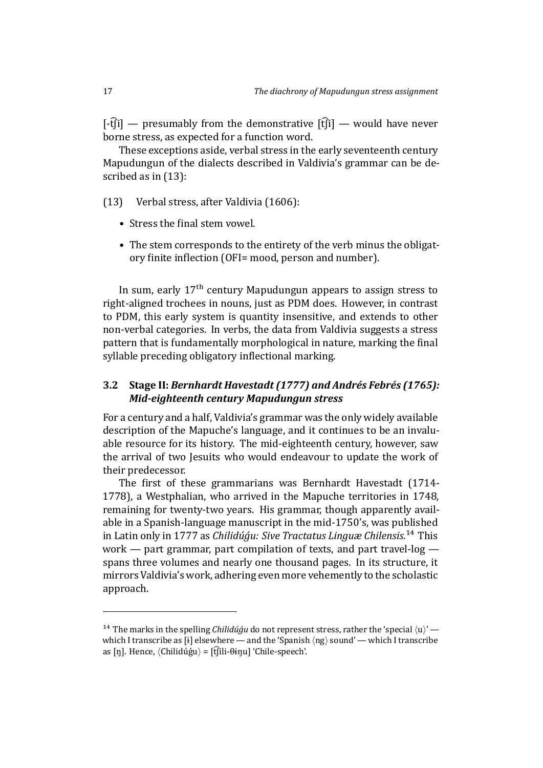$[f\cdot f\hat{f}j]$  — presumably from the demonstrative  $[f\hat{f}j]$  — would have never borne stress, as expected for a function word.

These exceptions aside, verbal stress in the early seventeenth century Mapudungun of the dialects described in Valdivia's grammar can be described as in (13):

(13) Verbal stress, after Valdivia (1606):

- Stress the final stem vowel.
- The stem correspon[ds to the entirety](#page-49-6) of the verb minus the obligatory finite inflection (OFI= mood, person and number).

In sum, early  $17<sup>th</sup>$  century Mapudungun appears to assign stress to right-aligned trochees in nouns, just as PDM does. However, in contrast to PDM, this early system is quantity insensitive, and extends to other non-verbal categories. In verbs, the data from Valdivia suggests a stress pattern that is fundamentally morphological in nature, marking the final syllable preceding obligatory inflectional marking.

### **3.2 Stage II:** *Bernhardt Havestadt (1777) and Andrés Febrés (1765): Mid-eighteenth century Mapudungun stress*

For a century and a half, Valdivia's grammar was the only widely available description of the Mapuche's language, and it continues to be an invaluable resource for its history. The mid-eighteenth century, however, saw the arrival of two Jesuits who would endeavour to update the work of their predecessor.

The first of these grammarians was Bernhardt Havestadt (1714-1778), a Westphalian, who arrived in the Mapuche territories in 1748, remaining for twenty-two years. His grammar, though apparently available in a Spanish-language manuscript in the mid-1750's, was published in Latin only in 1777 as *Chilidúģu: Sive Tractatus Linguæ Chilensis*.<sup>14</sup> This work — part grammar, part compilation of texts, and part travel-log spans three volumes and nearly one thousand pages. In its structure, it mirrors Valdivia's work, adhering even more vehemently to the sc[hol](#page-16-0)astic approach.

<span id="page-16-0"></span><sup>&</sup>lt;sup>14</sup> The marks in the spelling *Chilidúgu* do not represent stress, rather the 'special  $\langle u \rangle'$  which I transcribe as [ɨ] elsewhere — and the 'Spanish *⟨*ng*⟩* sound' — which I transcribe as [ŋ]. Hence, *(Chilidúģu)* = [t͡ʃili-θɨŋu] 'Chile-speech'.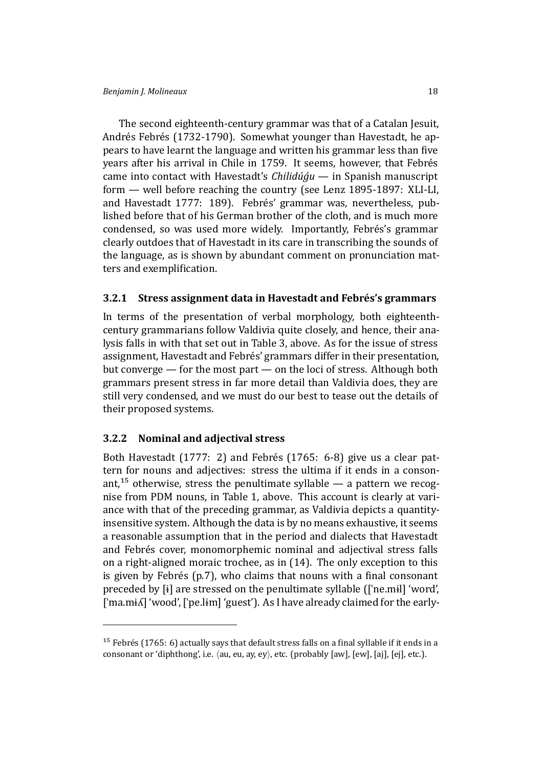The second eighteenth-century grammar was that of a Catalan Jesuit, Andrés Febrés (1732-1790). Somewhat younger than Havestadt, he appears to have learnt the language and written his grammar less than five years after his arrival in Chile in 1759. It seems, however, that Febrés came into contact with Havestadt's *Chilidúǵu* — in Spanish manuscript form — well before reaching the country (see Lenz 1895-1897: XLI-LI, and Havestadt 1777: 189). Febrés' grammar was, nevertheless, published before that of his German brother of the cloth, and is much more condensed, so was used more widely. Impor[tantly, Febrés's g](#page-47-14)rammar clea[rly outdoes that o](#page-46-8)f Havestadt in its care in transcribing the sounds of the language, as is shown by abundant comment on pronunciation matters and exemplification.

### **3.2.1 Stress assignment data in Havestadt and Febrés's grammars**

In terms of the presentation of verbal morphology, both eighteenthcentury grammarians follow Valdivia quite closely, and hence, their analysis falls in with that set out in Table 3, above. As for the issue of stress assignment, Havestadt and Febrés' grammars differ in their presentation, but converge — for the most part — on the loci of stress. Although both grammars present stress in far more [de](#page-8-0)tail than Valdivia does, they are still very condensed, and we must do our best to tease out the details of their proposed systems.

### **3.2.2 Nominal and adjectival stress**

<span id="page-17-1"></span>Both Havestadt (1777: 2) and Febrés (1765: 6-8) give us a clear pattern for nouns and adjectives: stress the ultima if it ends in a consonant,<sup>15</sup> otherwise, stress the penultimate syllable — a pattern we recognisef[rom PDM nouns,](#page-46-8) in Table [1, above. This](#page-46-9) account is clearly at variance with that of the preceding grammar, as Valdivia depicts a quantityins[ens](#page-17-0)itive system. Although the data is by no means exhaustive, it seems a reasonable assumption that i[n](#page-3-0) the period and dialects that Havestadt and Febrés cover, monomorphemic nominal and adjectival stress falls on a right-aligned moraic trochee, as in (14). The only exception to this is given by Febrés (p.7), who claims that nouns with a final consonant preceded by [ɨ] are stressed on the penultimate syllable ([ˈne.mɨl] 'word', ['ma.mi^] 'wood', ['pe.lim] 'guest'). As I ha[ve](#page-17-1) already claimed for the early-

<span id="page-17-0"></span><sup>&</sup>lt;sup>15</sup> Febrés (1765: 6) actually says that default stress falls on a final syllable if it ends in a consonant or 'diphthong', i.e. *⟨*au, eu, ay, ey*⟩*, etc. (probably [aw], [ew], [aj], [ej], etc.).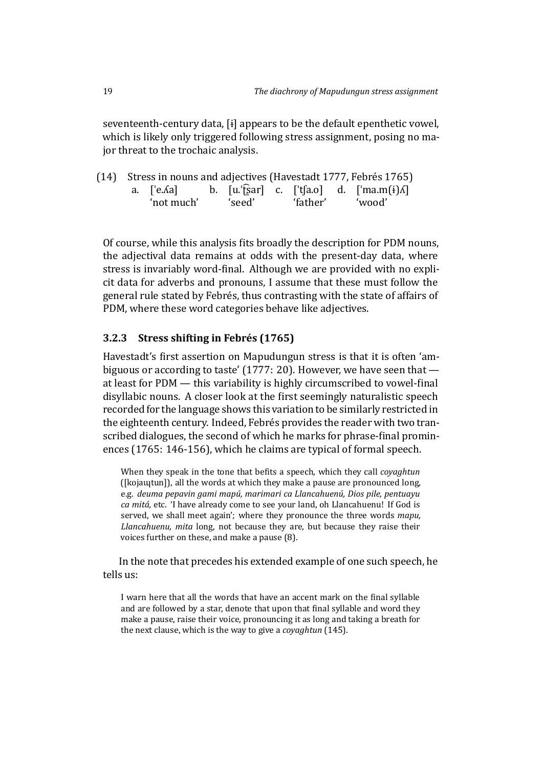seventeenth-century data, [ɨ] appears to be the default epenthetic vowel, which is likely only triggered following stress assignment, posing no major threat to the trochaic analysis.

|  |            |        |          | (14) Stress in nouns and adjectives (Havestadt 1777, Febrés 1765)                            |
|--|------------|--------|----------|----------------------------------------------------------------------------------------------|
|  |            |        |          | a. $[e.\text{Aa}]$ b. $[u:\text{A}]\text{A}$ c. $[\text{A}]\text{A}$ d. $[\text{A}]\text{A}$ |
|  | 'not much' | 'seed' | 'father' | 'wood'                                                                                       |

Of course, while this analysis fits broadly the description for PDM nouns, the adjectival data remains at odds with the present-day data, where stress is invariably word-final. Although we are provided with no explicit data for adverbs and pronouns, I assume that these must follow the general rule stated by Febrés, thus contrasting with the state of affairs of PDM, where these word categories behave like adjectives.

### **3.2.3 Stress shifting in Febrés (1765)**

Havestadt's first assertion on Mapudungun stress is that it is often 'ambiguous or according to taste' (1777: 20). However, we have seen that at least for  $PDM$  — this v[ariability is highl](#page-46-9)y circumscribed to vowel-final disyllabic nouns. A closer look at the first seemingly naturalistic speech recorded for the language sho[ws this](#page-46-8) variation to be similarly restricted in the eighteenth century. Indeed, Febrés provides the reader with two transcribed dialogues, the second of which he marks for phrase-final prominences (1765: 146-156), which he claims are typical of formal speech.

When they speak in the tone that befits a speech, which they call *coyaghtun* ([kojaɰtun]), all the words at which they make a pause are pronounced long, e.g. *[deuma](#page-46-9) pepavin gami mapú, marimari ca Llancahuenú, Dios pile, pentuayu ca mitá,* etc. 'I have already come to see your land, oh Llancahuenu! If God is served, we shall meet again'; where they pronounce the three words *mapu, Llancahuenu, mita* long, not because they are, but because they raise their voices further on these, and make a pause (8).

In the note that precedes his extended example of one such speech, he tells us:

I warn here that all the words that have an accent mark on the final syllable and are followed by a star, denote that upon that final syllable and word they make a pause, raise their voice, pronouncing it as long and taking a breath for the next clause, which is the way to give a *coyaghtun* (145).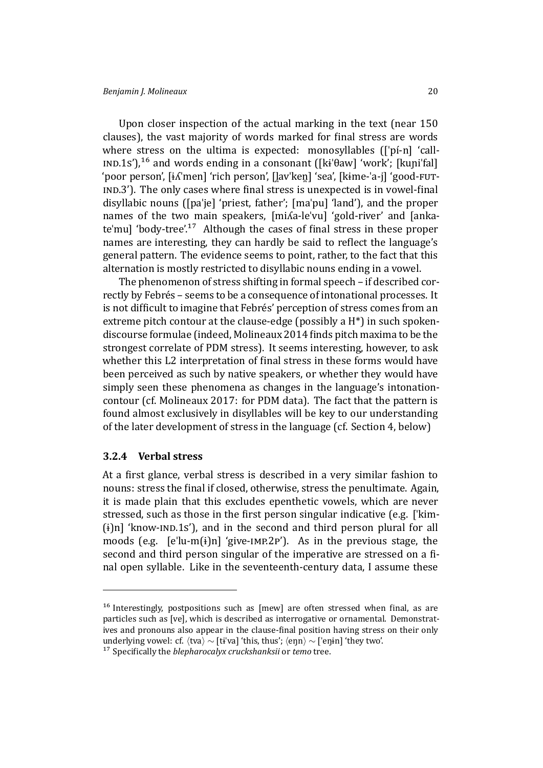Upon closer inspection of the actual marking in the text (near 150 clauses), the vast majority of words marked for final stress are words where stress on the ultima is expected: monosyllables (['pi-n] 'call-IND.15'),<sup>16</sup> and words ending in a consonant ([kɨ $\theta$ aw] 'work'; [kuni<sup>'fal]</sup> 'poor person', [ɨʎˈmen] 'rich person', [lavˈken̪] 'sea', [kɨme-ˈa-j] 'good-FUT-IND.3'). The only cases where final stress is unexpected is in vowel-final disyllab[ic](#page-19-0) nouns ([paˈje] 'priest, father'; [maˈpu] 'land'), and the proper names of the two main speakers, [miʎa-leˈvu] 'gold-river' and [ankate'mu] 'body-tree'.<sup>17</sup> Although the cases of final stress in these proper names are interesting, they can hardly be said to reflect the language's general pattern. The evidence seems to point, rather, to the fact that this alternation is mos[tly](#page-19-1) restricted to disyllabic nouns ending in a vowel.

The phenomenon of stress shifting in formal speech – if described correctly by Febrés – seems to be a consequence of intonational processes. It is not difficult to imagine that Febrés' perception of stress comes from an extreme pitch contour at the clause-edge (possibly a H\*) in such spokendiscourse formulae (indeed, Molineaux 2014 ϐinds pitch maxima to be the strongest correlate of PDM stress). It seems interesting, however, to ask whether this L2 interpretation of final stress in these forms would have been perceived as such by [native speakers, o](#page-47-9)r whether they would have simply seen these phenomena as changes in the language's intonationcontour (cf. Molineaux 2017: for PDM data). The fact that the pattern is found almost exclusively in disyllables will be key to our understanding of the later development of stress in the language (cf. Section 4, below)

#### **3.2.4 Ver[bal stress](#page-48-5)**

At a [f](#page-33-0)irst glance, verbal stress is described in a very similar fashion to nouns: stress the final if closed, otherwise, stress the penultimate. Again, it is made plain that this excludes epenthetic vowels, which are never stressed, such as those in the first person singular indicative (e.g. ['kim- $(i)$ n] 'know- $ND.1s'$ ), and in the second and third person plural for all moods (e.g.  $[e^t]u-m(i)$ n] 'give-IMP.2P'). As in the previous stage, the second and third person singular of the imperative are stressed on a final open syllable. Like in the seventeenth-century data, I assume these

 $16$  Interestingly, postpositions such as [mew] are often stressed when final, as are particles such as [ve], which is described as interrogative or ornamental. Demonstratives and pronouns also appear in the clause-final position having stress on their only underlying vowel: cf.  $\langle$ tva $\rangle$  ∼ [tɨˈva] 'this, thus';  $\langle$ enn $\rangle$  ∼ ['enɨn] 'they two'.

<span id="page-19-1"></span><span id="page-19-0"></span><sup>&</sup>lt;sup>17</sup> Specifically the *blepharocalyx cruckshanksii* or *temo* tree.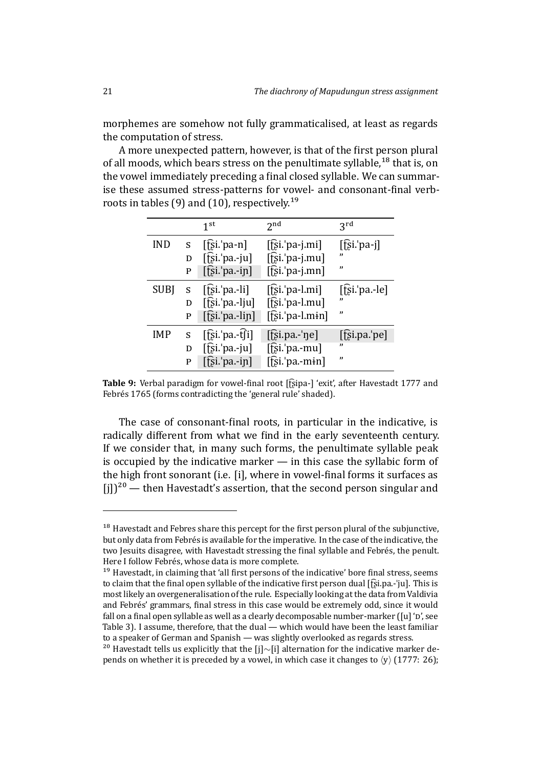morphemes are somehow not fully grammaticalised, at least as regards the computation of stress.

A more unexpected pattern, however, is that of the first person plural of all moods, which bears stress on the penultimate syllable,<sup>18</sup> that is, on the vowel immediately preceding a final closed syllable. We can summarise these assumed stress-patterns for vowel- and consonant-final verbroots in tables (9) and (10), respectively.<sup>19</sup>

|             |   | 1 <sup>st</sup>         | 2 <sub>nd</sub>                | 3 <sup>rd</sup>       |
|-------------|---|-------------------------|--------------------------------|-----------------------|
| IND         | S | [fsi.png                | $[\hat{fsi}$ : pa-j.mi]        | $[\hat{z}]$ si.'pa-j] |
|             | D | $[\hat{E}$ si.'pa.-ju]  | $[\hat{E}$ si.'pa-j.mu]        |                       |
|             | P | $[f̄s̃ī$ 'pa.-in]       | $[\hat{E}$ si.'pa-j.mn]        | "                     |
| <b>SUBJ</b> | S | $[$ [si. $'$ pa.-li]    | $[$ [si. <sup>'</sup> pa-l.mi] | $[$ [si. $'$ pa.-le]  |
|             | D | $[\hat{E}$ si.'pa.-lju] | $\left[\hat{E}$ si.'pa-l.mu]   | ,,                    |
|             | P | $[\hat{E}$ i.'pa.-lin]  | $[\hat{fs}i.]$ pa-l.min]       | "                     |
| IMP         | S | $[f$ si. pa.-t $f$ i]   | $[$ tsi.pa.-'ne]               | $[\hat{E}$ i.pa.'pe]  |
|             | D | $[f̃si$ : pa.-ju]       | $[\hat{E}$ si.'pa.-mu]         | "                     |
|             | P | $[\hat{E}$ si.'pa.-in]  | $[\hat{E}$ si.'pa.-min]        | "                     |

**Table 9:** Verbal paradigm for vowel-final root [f͡ʂipa-] 'exit', after Havestadt 1777 and Febrés 1765 (forms contradicting the 'general rule' shaded).

The case of consonant-final roots, in particular in [the indicative](#page-46-8), is [radically d](#page-46-9)ifferent from what we find in the early seventeenth century. If we consider that, in many such forms, the penultimate syllable peak is occupied by the indicative marker — in this case the syllabic form of the high front sonorant (i.e. [i], where in vowel-final forms it surfaces as  $[i]]^{20}$  — then Havestadt's assertion, that the second person singular and

<sup>&</sup>lt;sup>18</sup> [Hav](#page-20-1)estadt and Febres share this percept for the first person plural of the subjunctive, but only data from Febrés is available for the imperative. In the case of the indicative, the two Jesuits disagree, with Havestadt stressing the final syllable and Febrés, the penult. Here I follow Febrés, whose data is more complete.

<sup>&</sup>lt;sup>19</sup> Havestadt, in claiming that 'all first persons of the indicative' bore final stress, seems to claim that the final open syllable of the indicative first person dual  $[f\hat{s}i, p\hat{a} - j\hat{a}]$ . This is most likely an overgeneralisation of the rule. Especially looking at the data from Valdivia and Febrés' grammars, final stress in this case would be extremely odd, since it would fall on a final open syllable as well as a clearly decomposable number-marker ([u] 'p', see Table 3). I assume, therefore, that the dual — which would have been the least familiar to a speaker of German and Spanish — was slightly overlooked as regards stress.

<span id="page-20-1"></span><span id="page-20-0"></span><sup>&</sup>lt;sup>20</sup> Havestadt tells us explicitly that the [j]∼[i] alternation for the indicative marker depends on whether it is preceded by a vowel, in which case it changes to  $\langle y \rangle$  (1777: 26);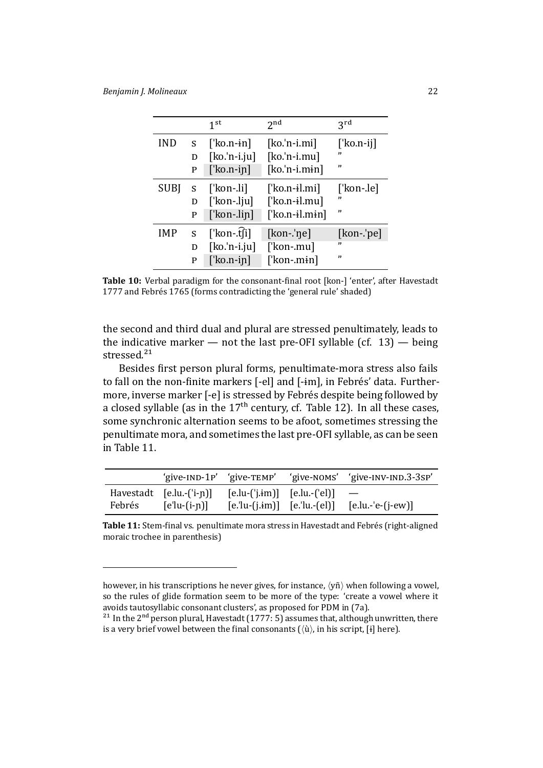|   | 1 <sup>st</sup>    | 2 <sub>nd</sub>        | 3rd              |
|---|--------------------|------------------------|------------------|
| S | $\lceil$ 'ko.n-in  | $[ko.'n-i.mi]$         | [ˈko.n-ij]<br>,, |
| D |                    |                        |                  |
| P | $\lceil$ 'ko.n-in] | $[ko.'n-i.min]$        | "                |
| S | $[$ 'kon-.li]      | [ˈko.n-ɨl.mi]          | [ˈkon-.le]       |
| D | [ˈkon-.lju]        | $[$ 'ko.n-il.mu]       | ,,               |
| P | $[$ kon-.lin]      | $\lceil$ 'ko.n-il.min] | ,,               |
| S | [ˈkon-.t͡ʃi]       | $[kon-lne]$            | [kon-.'pe]       |
| D | $[ko.'n-i.ju]$     | [ˈkon-.mu]             | ,,               |
| P | ['ko.n-in]         | [ˈkon-.mɨn]            | $\mathbf{v}$     |
|   |                    | $[ko.'n-i.ju]$         | $[ko.'n-i.mu]$   |

**Table 10:** Verbal paradigm for the consonant-final root [kon-] 'enter', after Havestadt 1777 and Febrés 1765 (forms contradicting the 'general rule' shaded)

<span id="page-21-0"></span>the second and third dual and plural are stressed penultimately, [leads to](#page-46-8) [the i](#page-46-8)ndi[cative mark](#page-46-9)er  $-$  not the last pre-OFI syllable (cf. 13)  $-$  being stressed.<sup>21</sup>

Besides first person plural forms, penultimate-mora stress also fails to fall on the non-finite markers [-el] and [-im], in Febrés' [data](#page-15-0). Furthermore, in[ver](#page-21-1)se marker [-e] is stressed by Febrés despite being followed by a closed syllable (as in the  $17<sup>th</sup>$  century, cf. Table 12). In all these cases, some synchronic alternation seems to be afoot, sometimes stressing the penultimate mora, and sometimes the last pre-OFI syllable, as can be seen in Table 11.

|                                      |                |                                          | 'give-IND-1P' 'give-TEMP' 'give-NOMS' 'give-INV-IND.3-3SP' |
|--------------------------------------|----------------|------------------------------------------|------------------------------------------------------------|
| Havestadt $[e.lu.-('i-n)]$<br>Febrés | $[e'lu-(i-n)]$ | $[$ e.lu- $('i.im)]$ $[$ e.lu.- $('el)]$ | $[e$ .'lu-(j.im)] $[e$ .'lu.-(el)] $[e$ .lu.-'e-(j-ew)]    |

Table 11: Stem-final vs. penultimate mora stress in Havestadt and Febrés (right-aligned moraic trochee in parenthesis)

<span id="page-21-2"></span>however, in his transcriptions he never gives, for instance, *⟨*yñ*⟩* when following a vowel, so the rules of glide formation seem to be more of the type: 'create a vowel where it avoids tautosyllabic consonant clusters', as proposed for PDM in (7a).

<span id="page-21-1"></span><sup>&</sup>lt;sup>21</sup> In the 2<sup>nd</sup> person plural, Havestadt (1777: 5) assumes that, although unwritten, there is a very brief vowel between the final consonants ( $\langle \hat{u} \rangle$ , in his script, [ɨ] here).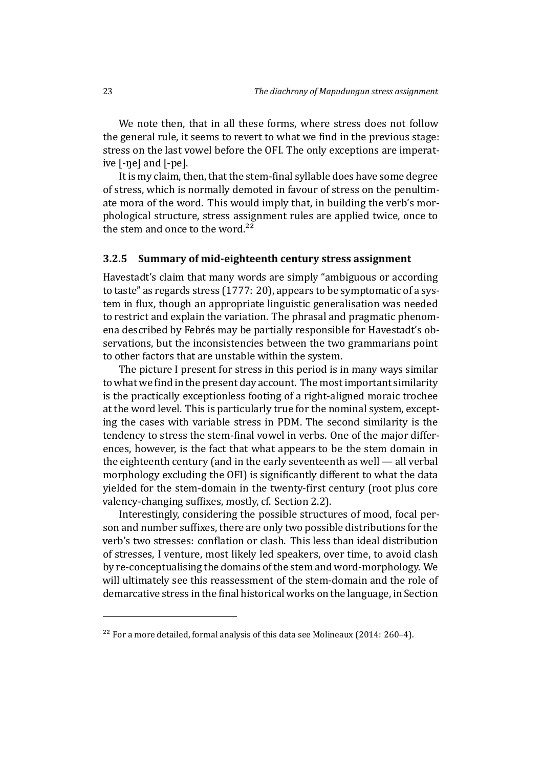We note then, that in all these forms, where stress does not follow the general rule, it seems to revert to what we find in the previous stage: stress on the last vowel before the OFI. The only exceptions are imperative [-ŋe] and [-pe].

It is my claim, then, that the stem-final syllable does have some degree of stress, which is normally demoted in favour of stress on the penultimate mora of the word. This would imply that, in building the verb's morphological structure, stress assignment rules are applied twice, once to the stem and once to the word. $22$ 

#### **3.2.5 Summary of mid-eighteenth century stress assignment**

Havestadt's claim that many [wor](#page-22-0)ds are simply "ambiguous or according to taste" as regards stress (1777: 20), appears to be symptomatic of a system in flux, though an appropriate linguistic generalisation was needed to restrict and explain the variation. The phrasal and pragmatic phenomena described by Febrés [may be](#page-46-8) partially responsible for Havestadt's observations, but the inconsistencies between the two grammarians point to other factors that are unstable within the system.

The picture I present for stress in this period is in many ways similar to what we find in the present day account. The most important similarity is the practically exceptionless footing of a right-aligned moraic trochee at the word level. This is particularly true for the nominal system, excepting the cases with variable stress in PDM. The second similarity is the tendency to stress the stem-final vowel in verbs. One of the major differences, however, is the fact that what appears to be the stem domain in the eighteenth century (and in the early seventeenth as well — all verbal morphology excluding the OFI) is significantly different to what the data yielded for the stem-domain in the twenty-first century (root plus core valency-changing suffixes, mostly, cf. Section 2.2).

Interestingly, considering the possible structures of mood, focal person and number suffixes, there are only two possible distributions for the verb's two stresses: conflation or clash. This [les](#page-4-1)s than ideal distribution of stresses, I venture, most likely led speakers, over time, to avoid clash by re-conceptualising the domains of the stem and word-morphology. We will ultimately see this reassessment of the stem-domain and the role of demarcative stress in the final historical works on the language, in Section

<span id="page-22-0"></span><sup>&</sup>lt;sup>22</sup> For a more detailed, formal analysis of this data see Molineaux (2014: 260–4).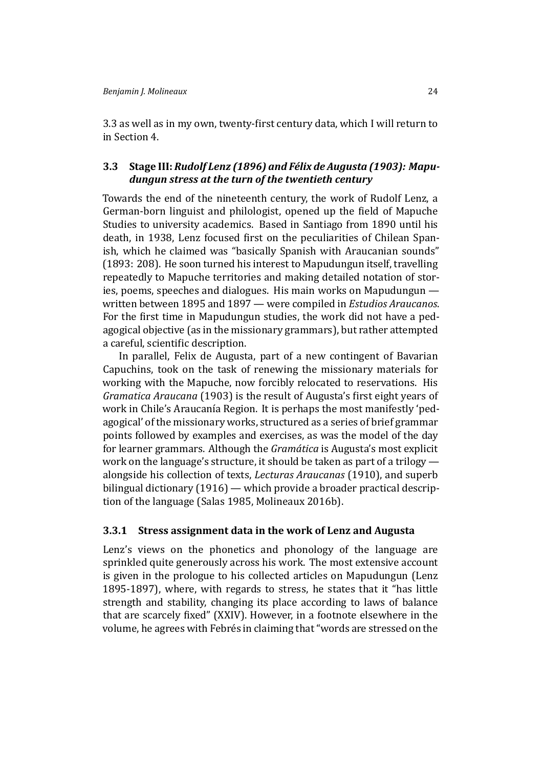3.3 as well as in my own, twenty-first century data, which I will return to in Section 4.

### **[3.3](#page-23-0) Stage III:** *Rudolf Lenz (1896) and Félix de Augusta (1903): Mapudun[gu](#page-33-0)n stress at the turn of the twentieth century*

<span id="page-23-0"></span>Towards the end of the nineteenth century, the work of Rudolf Lenz, a German-born linguist and philologist, opened up the field of Mapuche Studies to university academics. Based in Santiago from 1890 until his death, in 1938, Lenz focused first on the peculiarities of Chilean Spanish, which he claimed was "basically Spanish with Araucanian sounds" (1893: 208). He soon turned his interest to Mapudungun itself, travelling repeatedly to Mapuche territories and making detailed notation of stories, poems, speeches and dialogues. His main works on Mapudungun [writte](#page-47-15)n between 1895 and 1897 — were compiled in *Estudios Araucanos*. For the first time in Mapudungun studies, the work did not have a pedagogical objective (as in the missionary grammars), but rather attempted a careful, scientific description.

In parallel, Felix de Augusta, part of a new contingent of Bavarian Capuchins, took on the task of renewing the missionary materials for working with the Mapuche, now forcibly relocated to reservations. His *Gramatica Araucana* (1903) is the result of Augusta's first eight years of work in Chile's Araucanía Region. It is perhaps the most manifestly 'pedagogical' of the missionary works, structured as a series of brief grammar points followed by ex[ample](#page-45-3)s and exercises, as was the model of the day for learner grammars. Although the *Gramática* is Augusta's most explicit work on the language's structure, it should be taken as part of a trilogy alongside his collection of texts, *Lecturas Araucanas* (1910), and superb bilingual dictionary (1916) — which provide a broader practical description of the language (Salas 1985, Molineaux 2016b).

### **3.3.1 Stress assig[nmen](#page-45-7)t data in the work of Lenz [and A](#page-45-6)ugusta**

Lenz's views on th[e phonetics](#page-48-6) [and phonology](#page-48-7) of the language are sprinkled quite generously across his work. The most extensive account is given in the prologue to his collected articles on Mapudungun (Lenz 1895-1897), where, with regards to stress, he states that it "has little strength and stability, changing its place according to laws of balance that are scarcely fixed" (XXIV). However, in a footnote elsewhere i[n the](#page-47-14) [volume, he](#page-47-14) agrees with Febrés in claiming that "words are stressed on the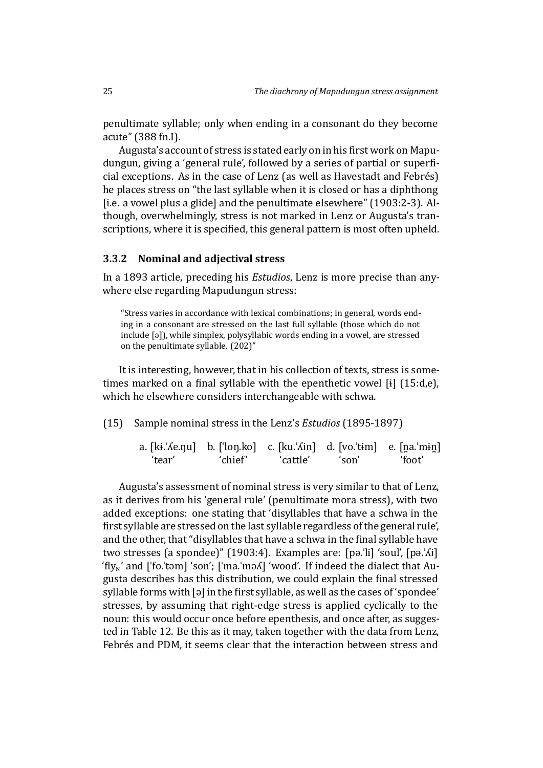penultimate syllable; only when ending in a consonant do they become acute" (388 fn.I).

Augusta's account of stress is stated early on in his first work on Mapudungun, giving a 'general rule', followed by a series of partial or superficial exceptions. As in the case of Lenz (as well as Havestadt and Febrés) he places stress on "the last syllable when it is closed or has a diphthong [i.e. a vowel plus a glide] and the penultimate elsewhere" (1903:2-3). Although, overwhelmingly, stress is not marked in Lenz or Augusta's transcriptions, where it is specified, this general pattern is most often upheld.

### **3.3.2 Nominal and adjectival stress**

In a 1893 article, preceding his *Estudios*, Lenz is more precise than anywhere else regarding Mapudungun stress:

<span id="page-24-0"></span>"Stress varies in accordance with lexical combinations; in general, words endi[ng in a](#page-47-15) consonant are stressed on the last full syllable (those which do not include [ə]), while simplex, polysyllabic words ending in a vowel, are stressed on the penultimate syllable. (202)"

It is interesting, however, that in his collection of texts, stress is sometimes marked on a final syllable with the epenthetic vowel  $[i]$  (15:d,e), which he elsewhere considers interchangeable with schwa.

(15) Sample nominal stress in the Lenz's *Estudios* (1895-1897)

| a. $[ki:\text{\&Ae}$ . [long.ko] c. $[ku:\text{\&Ain}]$ d. $[vo:\text{\&tim}]$ e. $[na:\text{\&mim}]$ |         |          |       |        |
|-------------------------------------------------------------------------------------------------------|---------|----------|-------|--------|
| 'tear'                                                                                                | 'chief' | 'cattle' | 'son' | 'foot' |

Augusta's assessment of nominal stress is very similar to that of Lenz, as it derives from his 'general rule' (penultimate mora stress), with two added exceptions: one stating that 'disyllables that have a schwa in the first syllable are stressed on the last syllable regardless of the general rule', and the other, that "disyllables that have a schwa in the final syllable have two stresses (a spondee)" (1903:4). Examples are: [pə.ˈli] 'soul', [pə.ˈʎi] 'fly<sub>N</sub>' and ['fo.'təm] 'son'; ['ma.'mə*K*] 'wood'. If indeed the dialect that Augusta describes has this distribution, we could explain the final stressed syllable forms with [ə] in the first syllable, as well as the cases of 'spondee' stresses, by assuming that right-edge stress is applied cyclically to the noun: this would occur once before epenthesis, and once after, as suggested in Table 12. Be this as it may, taken together with the data from Lenz, Febrés and PDM, it seems clear that the interaction between stress and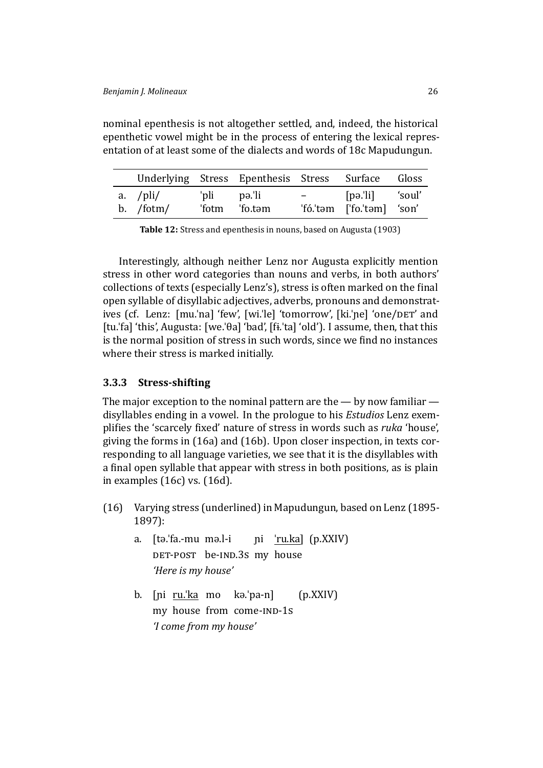epenthetic vowel might be in the process of entering the lexical representation of at least some of the dialects and words of 18c Mapudungun.

nominal epenthesis is not altogether settled, and, indeed, the historical

|                           |             | Underlying Stress Epenthesis Stress Surface Gloss |                                                              |                                              |  |
|---------------------------|-------------|---------------------------------------------------|--------------------------------------------------------------|----------------------------------------------|--|
| a. $/\pi$ i/<br>b. /fotm/ | 'pli pə.'li | 'fotm 'fo.təm                                     | $\mathcal{L} = \{ \mathcal{L} \}$ . The set of $\mathcal{L}$ | [pə.'li] 'soul'<br>'fó.'təm ['fo.'təm] 'son' |  |

**Table 12:** Stress and epenthesis in nouns, based on Augusta (1903)

Interestingly, although neither Lenz nor Augusta explicitly mention stress in other word categories than nouns and v[erbs, in both a](#page-45-3)uthors' collections of texts (especially Lenz's), stress is often marked on the final open syllable of disyllabic adjectives, adverbs, pronouns and demonstratives (cf. Lenz: [mu.'na] 'few', [wi.'le] 'tomorrow', [ki.'ne] 'one/DET' and [tu.ˈfa] 'this', Augusta: [we.ˈθa] 'bad', [ϐɨ.ˈta] 'old'). I assume, then, that this is the normal position of stress in such words, since we find no instances where their stress is marked initially.

### **3.3.3 Stress-shifting**

<span id="page-25-0"></span>The major exception to the nominal pattern are the  $-$  by now familiar  $$ disyllables ending in a vowel. In the prologue to his *Estudios* Lenz exemplifies the 'scarcely fixed' nature of stress in words such as *ruka* 'house', giving the forms in (16a) and (16b). Upon closer inspection, in texts corresponding to all language varieties, we see that it is the disyllables with a final open syllable that appear with stress in both positions, as is plain in examples (16c) v[s. \(1](#page-25-0)6d).

- (16) Varying stress (underlined) in Mapudungun, based on Lenz (1895- 1897)[:](#page-25-0)
	- a. [tə.ˈfa.-mu mə.l-i DET-POST be-IND.3s my house pi <u>'ru.ka]</u> (p.XXIV) *['H](#page-47-14)ere is my house'*
	- b. [pi <u>ru.'ka</u> mo kə.'pa-n] my house from come-IND-1s (p.XXIV) *'I come from my house'*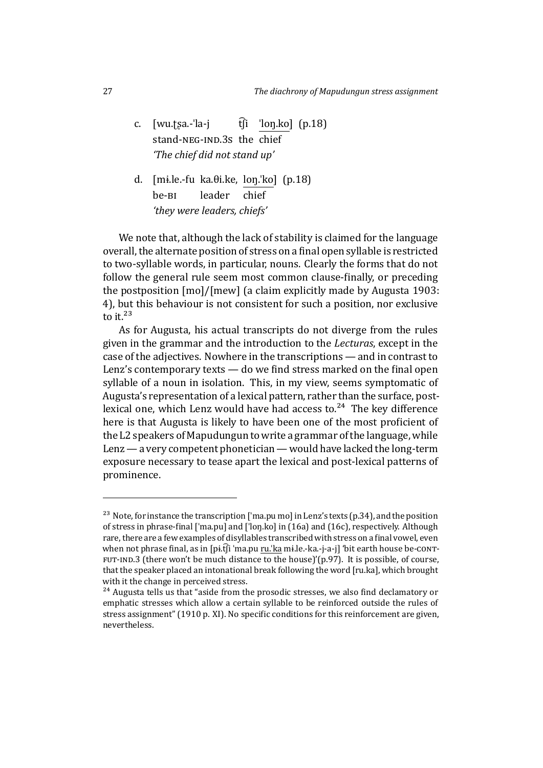- c. [wu.ʈʂa.-ˈla-j stand-NEG-IND.3s the chief tli ˈloŋ.ko] (p.18) *'The chief did not stand up'*
- d. [mɨ.le.-fu ka.θi.ke, loŋ.ˈko] (p.18) be-<sub>BI</sub> leader chief *'they were leaders, chiefs'*

We note that, although the lack of stability is claimed for the language overall, the alternate position of stress on a final open syllable is restricted to two-syllable words, in particular, nouns. Clearly the forms that do not follow the general rule seem most common clause-finally, or preceding the postposition [mo]/[mew] (a claim explicitly made by Augusta 1903: 4), but this behaviour is not consistent for such a position, nor exclusive to it. $^{23}$ 

As for Augusta, his actual transcripts do not diverge [from the rules](#page-45-3) given in the grammar and the introduction to the *Lecturas*, except in the case [of](#page-26-0) the adjectives. Nowhere in the transcriptions — and in contrast to Lenz's contemporary texts  $-$  do we find stress marked on the final open syllable of a noun in isolation. This, in my view, seems symptomatic of Augusta's representation of a lexical pattern, rather than the surface, postlexical one, which Lenz would have had access to.<sup>24</sup> The key difference here is that Augusta is likely to have been one of the most proficient of the L2 speakers of Mapudungun to write a grammar of the language, while Lenz— a very competent phonetician— would ha[ve l](#page-26-1)acked the long-term exposure necessary to tease apart the lexical and post-lexical patterns of prominence.

<sup>&</sup>lt;sup>23</sup> Note, for instance the transcription ['ma.pu mo] in Lenz's texts (p.34), and the position of stress in phrase-final ['ma.pu] and ['loŋ.ko] in (16a) and (16c), respectively. Although rare, there are a few examples of disyllables transcribed with stress on a final vowel, even when not phrase final, as in  $\left[p\text{if}(i\text{ }^\dagger\text{ma}.\text{pu}\text{ }^\dagger\text{ka}\text{ }^\dagger\text{ia}.\text{+v}\text{a}-\text{a-}\text{iv}\right]$  'bit earth house be-CONT- $FUT-IND.3$  (there won't be much distance to the house)'(p.97). It is possible, of course, that the speaker placed an intonational break foll[ow](#page-25-0)ing the [wo](#page-25-0)rd [ru.ka], which brought with it the change in perceived stress.

<span id="page-26-1"></span><span id="page-26-0"></span><sup>&</sup>lt;sup>24</sup> Augusta tells us that "aside from the prosodic stresses, we also find declamatory or emphatic stresses which allow a certain syllable to be reinforced outside the rules of stress assignment" (1910 p. XI). No specific conditions for this reinforcement are given, nevertheless.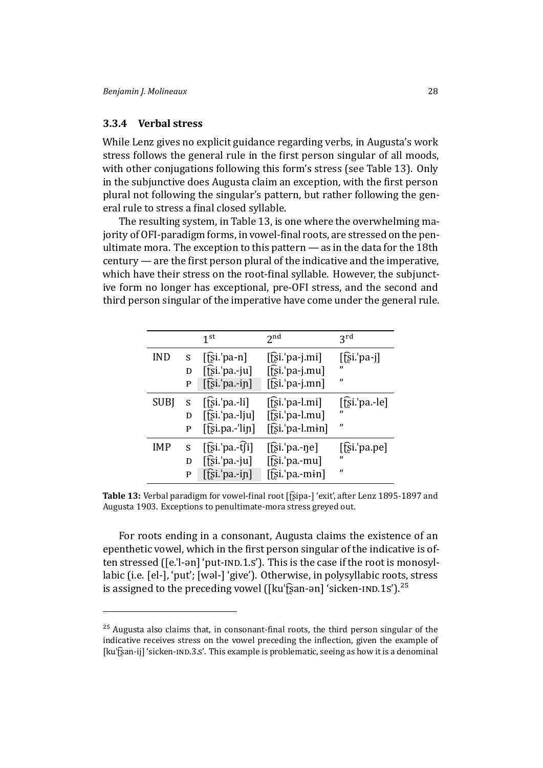### **3.3.4 Verbal stress**

While Lenz gives no explicit guidance regarding verbs, in Augusta's work stress follows the general rule in the first person singular of all moods, with other conjugations following this form's stress (see Table 13). Only in the subjunctive does Augusta claim an exception, with the first person plural not following the singular's pattern, but rather following the general rule to stress a final closed syllable.

The resulting system, in Table 13, is one where the overwhe[lmi](#page-27-0)ng majority of OFI-paradigm forms, in vowel-final roots, are stressed on the penultimate mora. The exception to this pattern — as in the data for the 18th century — are the first person pl[ural](#page-27-0) of the indicative and the imperative, which have their stress on the root-final syllable. However, the subjunctive form no longer has exceptional, pre-OFI stress, and the second and third person singular of the imperative have come under the general rule.

|             |   | 1 <sup>st</sup>              | 2 <sub>nd</sub>                | 3 <sup>rd</sup>           |
|-------------|---|------------------------------|--------------------------------|---------------------------|
| <b>IND</b>  | S | $[$ [si. $'$ pa-n]           | $[\hat{fsi}$ : pa-j.mi]        | $[\hat{E}$ si.'pa-j]<br>" |
|             | D | $[f̄s̃ī$ 'pa.-ju]            | [t͡si.'pa-j.mu]                |                           |
|             | P | $[\hat{E}$ i. pa.-in]        | $[\hat{E}$ si.'pa-j.mn]        | "                         |
| <b>SUBJ</b> | S | $[$ [si.'pa.-li] $]$         | $[$ [si. <sup>'</sup> pa-l.mi] | $[\n$ [[si.'pa.-le]       |
|             | D | $[\hat{E}$ si.'pa.-lju]      | $[f̃s̃i.'pa-l.mu]$             | "                         |
|             | P | $[$ [si.pa.-' $\text{lip}$ ] | $[\hat{E}$ si.'pa-l.min]       | "                         |
| <b>IMP</b>  | S | $[f$ si.'pa.-t $[i]$         | $[$ [si. <sup>'</sup> pa.-ne]  | [[si.'pa.pe]              |
|             | D | $[f̃s̃i.'pa.-ju]$            | $[\hat{E}$ si.'pa.-mu]         | "                         |
|             | P | $[f̃; ī$ 'pa.-in]            | $[\hat{E}$ si.'pa.-min]        | "                         |

Table 13: Verbal paradigm for vowel-final root [t͡ʂipa-] 'exit', after Lenz 1895-1897 and Augusta 1903. Exceptions to penultimate-mora stress greyed out.

<span id="page-27-0"></span>For roots ending in a consonant, Augusta claims t[he existence of](#page-47-14) an [epenthetic v](#page-45-3)owel, which in the first person singular of the indicative is often stressed ( $[e$ .'l-ən] 'put- $ND.1.5$ '). This is the case if the root is monosyllabic (i.e. [el-], 'put'; [wəl-] 'give'). Otherwise, in polysyllabic roots, stress is assigned to the preceding vowel ([ku'f͡ʂan-ən] 'sicken-IND.1s').<sup>25</sup>

<span id="page-27-1"></span> $25$  Augusta also claims that, in consonant-final roots, the third person sing[ular](#page-27-1) of the indicative receives stress on the vowel preceding the inflection, given the example of [kuˈf͡ʂan-ij] 'sicken-IND.3.s'. This example is problematic, seeing as how it is a denominal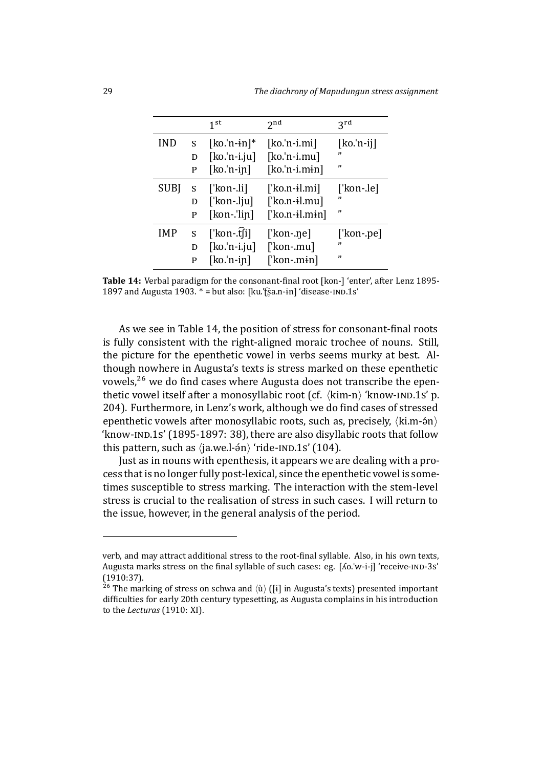|            |   | 1 <sup>st</sup>    | 2 <sub>nd</sub>        | <b>zrd</b>   |
|------------|---|--------------------|------------------------|--------------|
| <b>IND</b> | S | $[ko.'n-in]*$      | $[ko.'n-i.mi]$         | $[ko.'n-ij]$ |
|            | D | $[ko.'n-i.ju]$     | $[ko.'n-i.mu]$         | "            |
|            | P | $[ko.'n-ip]$       | $[ko.'n-i.min]$        | "            |
| SUBJ       | S | $\lceil$ 'kon-.li] | ['ko.n- $i$ l.mi]      | [ˈkon-.le]   |
|            | D | ['kon-.lju]        | $[$ 'ko.n-il.mu]       | ,,           |
|            | P | $[kon$ -'lin]      | $\lceil$ 'ko.n-il.min] | "            |
| <b>IMP</b> | S | $[$ kon-.t $[i]$   | ['kon-.ne]             | ['kon-.pe]   |
|            | D | $[ko.'n-i.ju]$     | [ˈkon-.mu]             | "            |
|            | P | $[ko.'n-ip]$       | [ˈkon-.mɨn]            | "            |

Table 14: Verbal paradigm for the consonant-final root [kon-] 'enter', after Lenz 1895-1897 and Augusta 1903.  $* =$  but also: [ku. fsa.n-in] 'disease-IND.1s'

<span id="page-28-0"></span>As we see in Table 14, the position of stress for consonant-f[inal roots](#page-47-14) [is fu](#page-47-14)lly [consistent w](#page-45-3)ith the right-aligned moraic trochee of nouns. Still, the picture for the epenthetic vowel in verbs seems murky at best. Although nowhere in A[ugu](#page-28-0)sta's texts is stress marked on these epenthetic vowels,<sup>26</sup> we do find cases where Augusta does not transcribe the epenthetic vowel itself after a monosyllabic root (cf.  $\langle$ kim-n $\rangle$  'know-IND.1s' p. 204). Furthermore, in Lenz's work, although we do find cases of stressed epenth[eti](#page-28-1)c vowels after monosyllabic roots, such as, precisely,  $\langle$ ki.m- $\frac{2}{\gamma}$ 'know-IND.1s' (1895-1897: 38), there are also disyllabic roots that follow this pattern, such as  $\langle$ ja.we.l- $\sin \rangle$  'ride- $\langle$ <sub>1</sub>ND.1s' (104).

Just as in nouns with epenthesis, it appears we are dealing with a process that is no l[onger fully p](#page-47-14)ost-lexical, since the epenthetic vowel is sometimes susceptible to stress marking. The interaction with the stem-level stress is crucial to the realisation of stress in such cases. I will return to the issue, however, in the general analysis of the period.

verb, and may attract additional stress to the root-final syllable. Also, in his own texts, Augusta marks stress on the final syllable of such cases: eg. [Λο.'w-i-j] 'receive-IND-3s' (1910:37).

<span id="page-28-1"></span><sup>&</sup>lt;sup>26</sup> The marking of stress on schwa and  $\langle \hat{u} \rangle$  ([i] in Augusta's texts) presented important difficulties for early 20th century typesetting, as Augusta complains in his introduction to the *Lecturas* (1910: XI).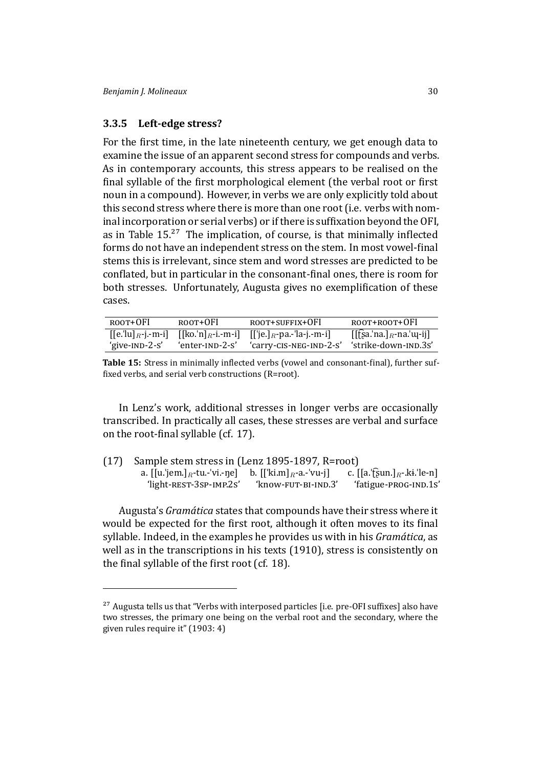### **3.3.5 Left-edge stress?**

For the first time, in the late nineteenth century, we get enough data to examine the issue of an apparent second stress for compounds and verbs. As in contemporary accounts, this stress appears to be realised on the final syllable of the first morphological element (the verbal root or first noun in a compound). However, in verbs we are only explicitly told about this second stress where there is more than one root (i.e. verbs with nominal incorporation or serial verbs) or if there is suffixation beyond the OFI, as in Table  $15<sup>27</sup>$  The implication, of course, is that minimally inflected forms do not have an independent stress on the stem. In most vowel-final stems this is irrelevant, since stem and word stresses are predicted to be conflated, b[ut](#page-29-0) [in](#page-29-1) particular in the consonant-final ones, there is room for both stresses. Unfortunately, Augusta gives no exemplification of these cases.

| ROOT+OFI       | ROOT+OFI        | ROOT+SUFFIX+OFI                                                            | root+root+OFI                                                           |
|----------------|-----------------|----------------------------------------------------------------------------|-------------------------------------------------------------------------|
|                |                 | $[[e']a]_R$ -j.-m-i] $[[ko']_R$ -i.-m-i] $[[\text{je}]_R$ -pa.-'la-j.-m-i] | $\left[\left[\right]\right]$ sa.'na. $\left]_R$ -na.' $\left[\right]_R$ |
| 'give-IND-2-s' | 'enter-ınp-2-s' | 'carry-CIS-NEG-IND-2-S'                                                    | 'strike-down-IND.3s'                                                    |

**Table 15:** Stress in minimally inflected verbs (vowel and consonant-final), further suffixed verbs, and serial verb constructions ( $R=root$ ).

<span id="page-29-0"></span>In Lenz's work, additional stresses in longer verbs are occasionally transcribed. In practically all cases, these stresses are verbal and surface on the root-final syllable (cf. 17).

(17) Sample stem stress in (Lenz 1895-1897, R=root) a. [[u.ˈjem.]*R*-tu.-ˈvi.-ŋe] b. [[ˈki.m]*R*-a.-ˈvu-j] c. [[a.ˈʈ͡ʂun.]*R*-.kɨ.ˈle-n] 'light-REST-3SP-IMP.2S' 'know-FUT-BI-IND.3' 'fatigue-PROG-IND.1S'

Augusta's *Gramática* state[s that compounds](#page-47-14) have their stress where it would be expected for the first root, although it often moves to its final syllable. Indeed, in the examples he provides us with in his *Gramática*, as well as in the transcriptions in his texts (1910), stress is consistently on the final syllable of the first root (cf. 18).

<span id="page-29-1"></span> $27$  Augusta tells us that "Verbs with interpo[sed](#page-29-0) particles [i.e. pre-OFI suffixes] also have two stresses, the primary one being on the verbal root and the secondary, where the given rules require it" (1903: 4)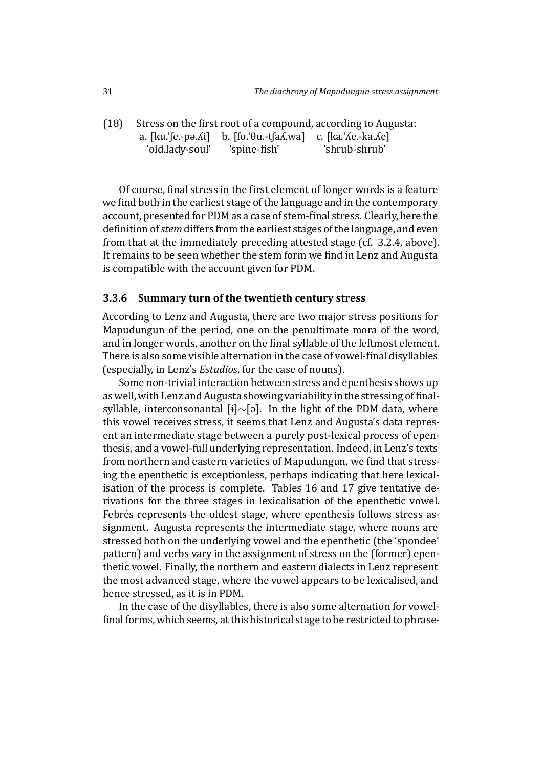$(18)$  Stress on the first root of a compound, according to Augusta: a.  $[ku][e,-p=0.6i]$  b.  $[fo][0u,-t[aA,wa]$  c.  $[ka][Ae,-kaAe]$ 'old.lady-soul' 'spine-fish' 'shrub-shrub'

Of course, final stress in the first element of longer words is a feature we find both in the earliest stage of the language and in the contemporary account, presented for PDM as a case of stem-final stress. Clearly, here the definition of *stem* differs from the earliest stages of the language, and even from that at the immediately preceding attested stage (cf. 3.2.4, above). It remains to be seen whether the stem form we find in Lenz and Augusta is compatible with the account given for PDM.

#### **3.3.6 Summary turn of the twentieth century stress**

According to Lenz and Augusta, there are two major stress positions for Mapudungun of the period, one on the penultimate mora of the word, and in longer words, another on the final syllable of the leftmost element. There is also some visible alternation in the case of vowel-final disyllables (especially, in Lenz's *Estudios*, for the case of nouns).

Some non-trivial interaction between stress and epenthesis shows up as well, with Lenz and Augusta showing variability in the stressing of finalsyllable, interconsonantal [ɨ]*∼*[ə]. In the light of the PDM data, where this vowel receives stress, it seems that Lenz and Augusta's data represent an intermediate stage between a purely post-lexical process of epenthesis, and a vowel-full underlying representation. Indeed, in Lenz's texts from northern and eastern varieties of Mapudungun, we find that stressing the epenthetic is exceptionless, perhaps indicating that here lexicalisation of the process is complete. Tables 16 and 17 give tentative derivations for the three stages in lexicalisation of the epenthetic vowel. Febrés represents the oldest stage, where epenthesis follows stress assignment. Augusta represents the interme[diat](#page-31-0)e st[age,](#page-31-1) where nouns are stressed both on the underlying vowel and the epenthetic (the 'spondee' pattern) and verbs vary in the assignment of stress on the (former) epenthetic vowel. Finally, the northern and eastern dialects in Lenz represent the most advanced stage, where the vowel appears to be lexicalised, and hence stressed, as it is in PDM.

In the case of the disyllables, there is also some alternation for vowelfinal forms, which seems, at this historical stage to be restricted to phrase-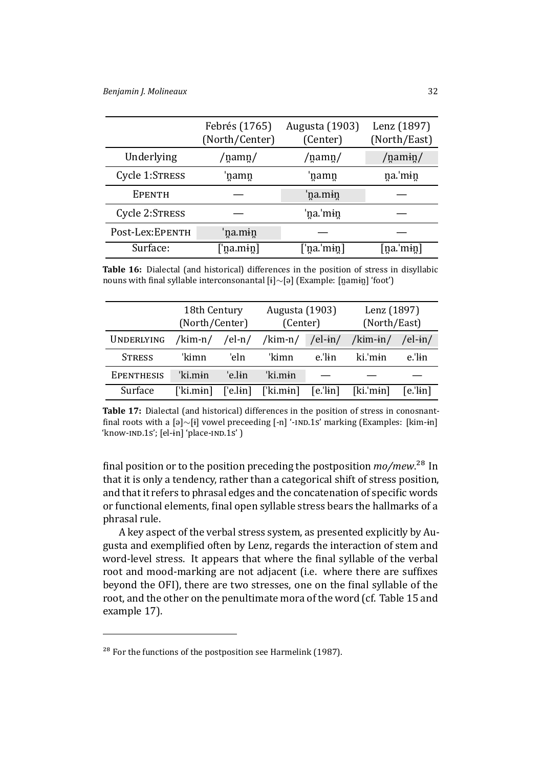|                 | Febrés (1765)<br>(North/Center) | <b>Augusta</b> (1903)<br>(Center) | Lenz (1897)<br>(North/East) |
|-----------------|---------------------------------|-----------------------------------|-----------------------------|
| Underlying      | /namn/                          | /namn/                            | $/$ namin $/$               |
| Cycle 1:STRESS  | namn                            | 'namn                             | na.'min                     |
| <b>EPENTH</b>   |                                 | 'na.mɨn                           |                             |
| Cycle 2:STRESS  |                                 | 'na.'mɨn                          |                             |
| Post-Lex:EPENTH | 'na.mɨn                         |                                   |                             |
| Surface:        | [ˈna.mɨn]                       | [ˈna.ˈmɨn]                        | [na.ˈmɨn]                   |

**Table 16:** Dialectal (and historical) differences in the position of stress in disyllabic nouns with final syllable interconsonantal [ɨ]∼[ə] (Example: [n̪amɨn̪] 'foot')

<span id="page-31-0"></span>

|                   | 18th Century<br>(North/Center) |                  | <b>Augusta</b> (1903)<br>(Center) |                       | Lenz (1897)<br>(North/East) |            |
|-------------------|--------------------------------|------------------|-----------------------------------|-----------------------|-----------------------------|------------|
| <b>UNDERLYING</b> | /kim-n/ /el-n/                 |                  | /kim-n/                           | /el-in/               | /kim- $\frac{1}{10}$        | /el-in/    |
| <b>STRESS</b>     | 'kimn                          | 'eln             | 'kimn                             | e.'lin                | ki.'min                     | $e$ .'lin  |
| <b>EPENTHESIS</b> | 'ki min                        | 'e.lɨn           | 'ki min                           |                       |                             |            |
| Surface           | $[$ 'ki.min $]$                | $\lceil$ 'e.lɨn] | [ˈki.mɨn]                         | $[e$ .' $\text{lin}]$ | $[ki.]$ min]                | $[e.]$ in] |

**Table 17:** Dialectal (and historical) differences in the position of stress in conosnantfinal roots with a [ə]∼[ɨ] vowel preceeding [-n] '-IND.1S' marking (Examples: [kim-ɨn] 'know-IND.1s'; [el-ɨn] 'place-IND.1s' )

<span id="page-31-1"></span>final position or to the position preceding the postposition  $mo/mew$ <sup>28</sup> In that it is only a tendency, rather than a categorical shift of stress position, and that it refers to phrasal edges and the concatenation of specific words or functional elements, final open syllable stress bears the hallmark[s o](#page-31-2)f a phrasal rule.

A key aspect of the verbal stress system, as presented explicitly by Augusta and exemplified often by Lenz, regards the interaction of stem and word-level stress. It appears that where the final syllable of the verbal root and mood-marking are not adjacent (i.e. where there are suffixes beyond the OFI), there are two stresses, one on the final syllable of the root, and the other on the penultimate mora of the word (cf. Table 15 and example 17).

<span id="page-31-2"></span> $28$  For the [func](#page-29-0)tions of the postposition see Harmelink (1987).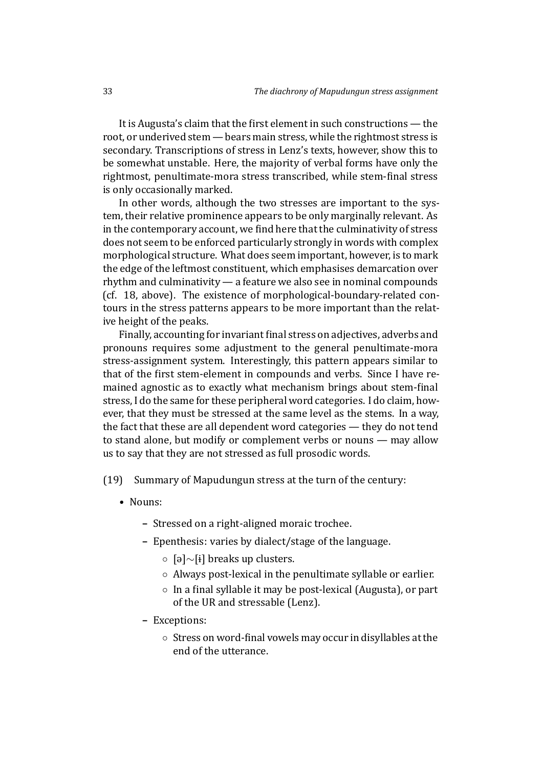It is Augusta's claim that the first element in such constructions - the root, or underived stem— bears main stress, while the rightmost stress is secondary. Transcriptions of stress in Lenz's texts, however, show this to be somewhat unstable. Here, the majority of verbal forms have only the rightmost, penultimate-mora stress transcribed, while stem-final stress is only occasionally marked.

In other words, although the two stresses are important to the system, their relative prominence appears to be only marginally relevant. As in the contemporary account, we find here that the culminativity of stress does not seem to be enforced particularly strongly in words with complex morphological structure. What does seem important, however, is to mark the edge of the leftmost constituent, which emphasises demarcation over rhythm and culminativity — a feature we also see in nominal compounds (cf. 18, above). The existence of morphological-boundary-related contours in the stress patterns appears to be more important than the relative height of the peaks.

[Fina](#page-29-0)lly, accounting for invariant final stress on adjectives, adverbs and pronouns requires some adjustment to the general penultimate-mora stress-assignment system. Interestingly, this pattern appears similar to that of the first stem-element in compounds and verbs. Since I have remained agnostic as to exactly what mechanism brings about stem-final stress, I do the same for these peripheral word categories. I do claim, however, that they must be stressed at the same level as the stems. In a way, the fact that these are all dependent word categories — they do not tend to stand alone, but modify or complement verbs or nouns — may allow us to say that they are not stressed as full prosodic words.

(19) Summary of Mapudungun stress at the turn of the century:

- Nouns:
	- **–** Stressed on a right-aligned moraic trochee.
	- **–** Epenthesis: varies by dialect/stage of the language.
		- *◦* [ə]*∼*[ɨ] breaks up clusters.
		- *◦* Always post-lexical in the penultimate syllable or earlier.
		- *◦* In a ϐinal syllable it may be post-lexical (Augusta), or part of the UR and stressable (Lenz).
	- **–** Exceptions:
		- *◦* Stress on word-ϐinal vowels may occur in disyllables at the end of the utterance.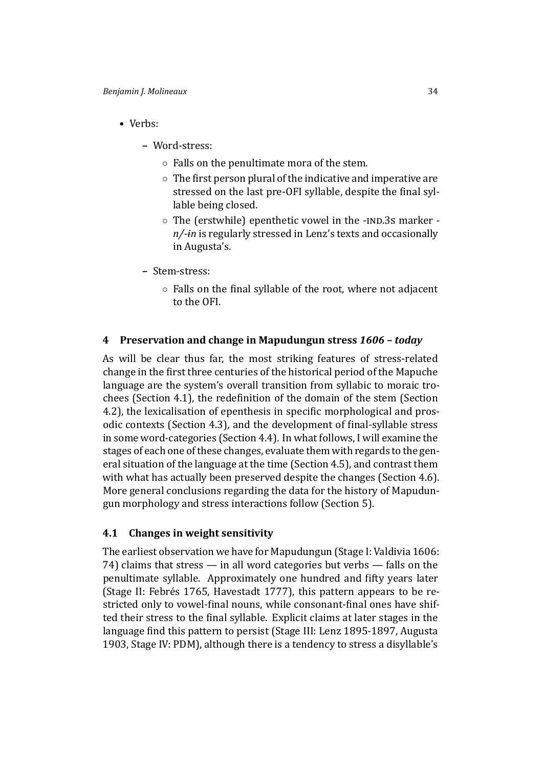- Verbs:
	- **–** Word-stress:
		- *◦* Falls on the penultimate mora of the stem.
		- *◦* The ϐirst person plural of the indicative and imperative are stressed on the last pre-OFI syllable, despite the final syllable being closed.
		- *◦* The (erstwhile) epenthetic vowel in the -Ďēĉ.3Ę marker  *n/-ɨn* is regularly stressed in Lenz's texts and occasionally in Augusta's.
	- **–** Stem-stress:
		- *◦* Falls on the ϐinal syllable of the root, where not adjacent to the OFI.

### **4 Preservation and change in Mapudungun stress** *1606 – today*

<span id="page-33-0"></span>As will be clear thus far, the most striking features of stress-related change in the first three centuries of the historical period of the Mapuche language are the system's overall transition from syllabic to moraic trochees (Section 4.1), the redefinition of the domain of the stem (Section 4.2), the lexicalisation of epenthesis in specific morphological and prosodic contexts (Section 4.3), and the development of final-syllable stress in some word-c[ate](#page-33-1)gories (Section 4.4). In what follows, I will examine the [stag](#page-36-0)es of each one of these changes, evaluate them with regards to the general situation of the la[ngua](#page-37-0)ge at the time (Section 4.5), and contrast them with what has actually been pres[erve](#page-38-0)d despite the changes (Section 4.6). More general conclusions regarding the data for the history of Mapudungun morphology and stress interactions follow (S[ecti](#page-40-0)on 5).

### **4.1 Changes in weight sensitivity**

<span id="page-33-1"></span>The earliest observation we have for Mapudungun (Stag[e I](#page-42-0): Valdivia 1606: 74) claims that stress — in all word categories but verbs — falls on the penultimate syllable. Approximately one hundred and fifty years later (Stage II: Febrés 1765, Havestadt 1777), this pattern ap[pears to be re](#page-49-6)stricted only to vowel-final nouns, while consonant-final ones have shifted their stress to the final syllable. Explicit claims at later stages in the language find this patte[rn to persist \(Sta](#page-46-8)ge III: Lenz 1895-1897, Augusta 1903, Stage IV: PDM), although there is a tendency to stress a disyllable's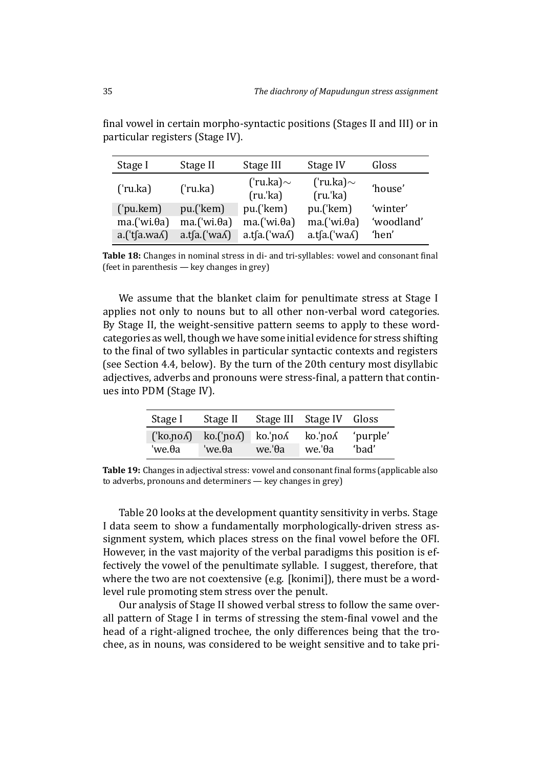| Stage I                   | Stage II                | Stage III                | Stage IV                 | Gloss      |
|---------------------------|-------------------------|--------------------------|--------------------------|------------|
| ('ru.ka)                  | ('ru.ka)                | ('ru.ka)~<br>$(ru$ .'ka) | ('ru.ka)~<br>$(ru$ .'ka) | 'house'    |
| ('pu.kem)                 | pu.('kem)               | pu.('kem)                | pu.('kem)                | 'winter'   |
| $ma.($ 'wi. $\theta$ a)   | $ma.($ 'wi. $\theta$ a) | $ma.($ 'wi. $\theta$ a)  | $ma.($ 'wi. $\theta$ a)  | 'woodland' |
| $a.($ 'tsa.wa $\Lambda$ ) | $a.t[a.('wa\Lambda)$    | a.t[a.('wa∧)             | a.t[a.('wa∆)             | 'hen'      |

final vowel in certain morpho-syntactic positions (Stages II and III) or in particular registers (Stage IV).

Table 18: Changes in nominal stress in di- and tri-syllables: vowel and consonant final (feet in parenthesis — key changes in grey)

We assume that the blanket claim for penultimate stress at Stage I applies not only to nouns but to all other non-verbal word categories. By Stage II, the weight-sensitive pattern seems to apply to these wordcategories as well, though we have some initial evidence for stress shifting to the final of two syllables in particular syntactic contexts and registers (see Section 4.4, below). By the turn of the 20th century most disyllabic adjectives, adverbs and pronouns were stress-final, a pattern that continues into PDM (Stage IV).

| Stage I | Stage II                                                                                                                       |                   | Stage III Stage IV Gloss             |                   |
|---------|--------------------------------------------------------------------------------------------------------------------------------|-------------------|--------------------------------------|-------------------|
| 'we.θa  | $\left(\forall \text{ko}.\text{po}\right)$ ko. $\left(\forall \text{po}\right)$ ko. $\left(\forall \text{po}\right)$<br>'we.θa | $we$ : $\theta$ a | ko.'no <i>l</i><br>$we$ : $\theta$ a | 'purple'<br>'bad' |

**Table 19:** Changes in adjectival stress: vowel and consonant final forms (applicable also to adverbs, pronouns and determiners — key changes in grey)

<span id="page-34-0"></span>Table 20 looks at the development quantity sensitivity in verbs. Stage I data seem to show a fundamentally morphologically-driven stress assignment system, which places stress on the final vowel before the OFI. However[, in](#page-35-0) the vast majority of the verbal paradigms this position is effectively the vowel of the penultimate syllable. I suggest, therefore, that where the two are not coextensive (e.g. [konimi]), there must be a wordlevel rule promoting stem stress over the penult.

Our analysis of Stage II showed verbal stress to follow the same overall pattern of Stage I in terms of stressing the stem-final vowel and the head of a right-aligned trochee, the only differences being that the trochee, as in nouns, was considered to be weight sensitive and to take pri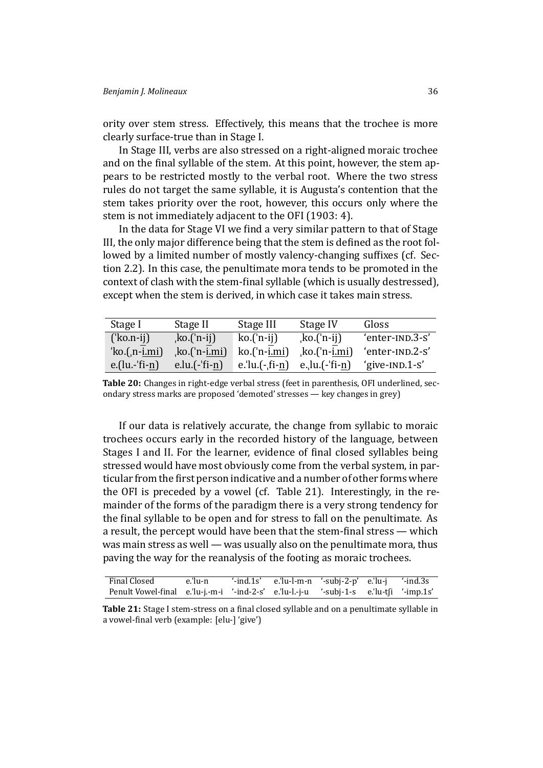ority over stem stress. Effectively, this means that the trochee is more clearly surface-true than in Stage I.

In Stage III, verbs are also stressed on a right-aligned moraic trochee and on the final syllable of the stem. At this point, however, the stem appears to be restricted mostly to the verbal root. Where the two stress rules do not target the same syllable, it is Augusta's contention that the stem takes priority over the root, however, this occurs only where the stem is not immediately adjacent to the OFI (1903: 4).

In the data for Stage VI we find a very similar pattern to that of Stage III, the only major difference being that the stem is defined as the root followed by a limited number of mostly valenc[y-chan](#page-45-3)ging suffixes (cf. Section 2.2). In this case, the penultimate mora tends to be promoted in the context of clash with the stem-final syllable (which is usually destressed), except when the stem is derived, in which case it takes main stress.

| Stage I          | Stage II               | Stage III             | Stage IV               | Gloss           |
|------------------|------------------------|-----------------------|------------------------|-----------------|
| $('ko.n-ij)$     | $k$ o.('n-ij)          | $ko('n-ij)$           | $k$ o. $('n-ij)$       | 'enter-IND.3-S' |
| $'ko.(n-i.mi)$   | ko.('n- <u>i.mi</u> ), | $ko('n-i.mi)$         | ko.('n- <u>i.mi</u> ), | 'enter-IND.2-S' |
| $e$ .(lu.-'fi-n) | $e.lu.(-$ fi-n $)$     | $e$ .'lu. $(-, fi-n)$ | e., $lu.(-$ fi-n $)$   | 'give-IND.1-S'  |

**Table 20:** Changes in right-edge verbal stress (feet in parenthesis, OFI underlined, secondary stress marks are proposed 'demoted' stresses — key changes in grey)

<span id="page-35-0"></span>If our data is relatively accurate, the change from syllabic to moraic trochees occurs early in the recorded history of the language, between Stages I and II. For the learner, evidence of final closed syllables being stressed would have most obviously come from the verbal system, in particular from the first person indicative and a number of other forms where the OFI is preceded by a vowel (cf. Table 21). Interestingly, in the remainder of the forms of the paradigm there is a very strong tendency for the final syllable to be open and for stress to fall on the penultimate. As a result, t[he](#page-35-1) percept would have been that the stem-final stress — which was main stress as well — was usually also on the penultimate mora, thus paving the way for the reanalysis of the footing as moraic trochees.

| Final Closed                                                                           | e.'lu-n | $'$ -ind.1s' e.'lu-l-m-n $'$ -subj-2-p' e.'lu-j $'$ -ind.3s |  |  |
|----------------------------------------------------------------------------------------|---------|-------------------------------------------------------------|--|--|
| Penult Vowel-final e.'lu-j.-m-i '-ind-2-s' e.'lu-l.-j-u '-subj-1-s e.'lu-tfi '-imp.1s' |         |                                                             |  |  |

<span id="page-35-1"></span>**Table 21:** Stage I stem-stress on a final closed syllable and on a penultimate syllable in a vowel-final verb (example: [elu-] 'give')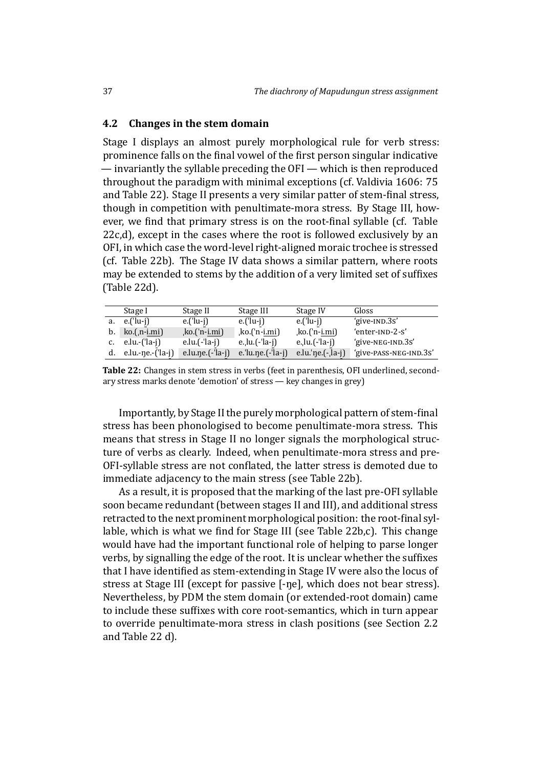#### **4.2 Changes in the stem domain**

<span id="page-36-0"></span>Stage I displays an almost purely morphological rule for verb stress: prominence falls on the final vowel of the first person singular indicative — invariantly the syllable preceding the OFI — which is then reproduced throughout the paradigm with minimal exceptions (cf. Valdivia 1606: 75 and Table 22). Stage II presents a very similar patter of stem-final stress, though in competition with penultimate-mora stress. By Stage III, however, we find that primary stress is on the root-final [syllable \(cf. Ta](#page-49-6)ble 22c,d), ex[cep](#page-36-1)t in the cases where the root is followed exclusively by an OFI, in which case the word-level right-aligned moraic trochee is stressed (cf. Table 22b). The Stage IV data shows a similar pattern, where roots [ma](#page-36-1)y be extended to stems by the addition of a very limited set of suffixes (Table 22d).

|    | Stage I           | Stage II              | Stage III             | Stage IV                | Gloss                  |
|----|-------------------|-----------------------|-----------------------|-------------------------|------------------------|
| a. | $e.('lu-i')$      | $e$ .('lu-j)          | $e$ .('lu-i)          | $e$ .('lu-j)            | 'give-IND.3s'          |
|    | b. $ko.(n-i.mi)$  | ko.('n- <u>i.mi</u> ) | ko.('n- <u>i.mi</u> ) | ko.('n- <u>i.mi</u> )   | 'enter-IND-2-S'        |
|    | $e.lu.-(′la-j)$   | e.lu. $(-$ 'la-j)     | e.lu. $(-$ la-j)      | e., $lu$ . $(-'la - i)$ | 'give-NEG-IND.3S'      |
| d. | e.lu.-ne.-('la-j) | e.lu.ne. $(-$ 'la-j)  | e.'lu.ne. $(-$ 'la-j) | e.lu.'ne. $(-$ ]a-j     | 'give-PASS-NEG-IND.3S' |

**Table 22:** Changes in stem stress in verbs (feet in parenthesis, OFI underlined, secondary stress marks denote 'demotion' of stress — key changes in grey)

<span id="page-36-1"></span>Importantly, by Stage II the purely morphological pattern of stem-final stress has been phonologised to become penultimate-mora stress. This means that stress in Stage II no longer signals the morphological structure of verbs as clearly. Indeed, when penultimate-mora stress and pre-OFI-syllable stress are not conflated, the latter stress is demoted due to immediate adjacency to the main stress (see Table 22b).

As a result, it is proposed that the marking of the last pre-OFI syllable soon became redundant (between stages II and III), and additional stress retracted to the next prominent morphological posi[tion](#page-36-1): the root-final syllable, which is what we find for Stage III (see Table 22b,c). This change would have had the important functional role of helping to parse longer verbs, by signalling the edge of the root. It is unclear whether the suffixes that I have identified as stem-extending in Stage IV [were](#page-36-1) also the locus of stress at Stage III (except for passive [-ŋe], which does not bear stress). Nevertheless, by PDM the stem domain (or extended-root domain) came to include these suffixes with core root-semantics, which in turn appear to override penultimate-mora stress in clash positions (see Section 2.2 and Table 22 d).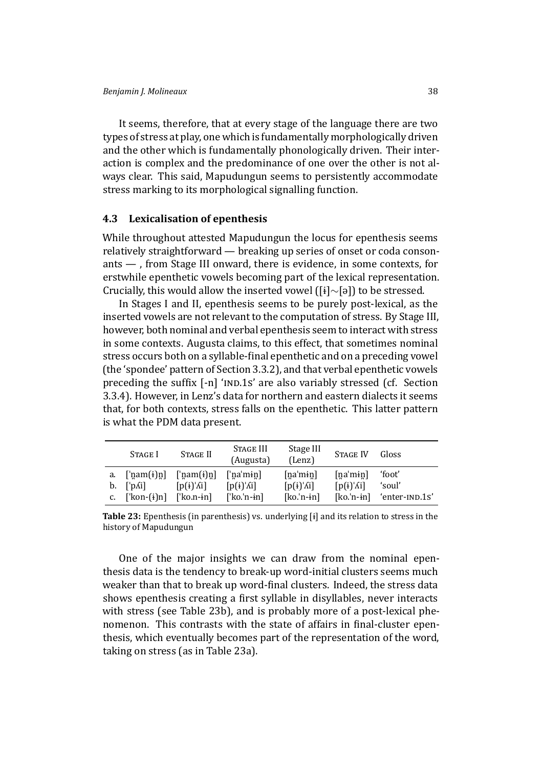It seems, therefore, that at every stage of the language there are two types of stress at play, one which is fundamentally morphologically driven and the other which is fundamentally phonologically driven. Their interaction is complex and the predominance of one over the other is not always clear. This said, Mapudungun seems to persistently accommodate stress marking to its morphological signalling function.

### **4.3 Lexicalisation of epenthesis**

<span id="page-37-0"></span>While throughout attested Mapudungun the locus for epenthesis seems relatively straightforward — breaking up series of onset or coda consonants — , from Stage III onward, there is evidence, in some contexts, for erstwhile epenthetic vowels becoming part of the lexical representation. Crucially, this would allow the inserted vowel ([ɨ]*∼*[ə]) to be stressed.

In Stages I and II, epenthesis seems to be purely post-lexical, as the inserted vowels are not relevant to the computation of stress. By Stage III, however, both nominal and verbal epenthesis seem to interact with stress in some contexts. Augusta claims, to this effect, that sometimes nominal stress occurs both on a syllable-final epenthetic and on a preceding vowel (the 'spondee' pattern of Section 3.3.2), and that verbal epenthetic vowels preceding the suffix [-n] 'IND.1S' are also variably stressed (cf. Section 3.3.4). However, in Lenz's data for northern and eastern dialects it seems that, for both contexts, stress fa[lls on](#page-24-0) the epenthetic. This latter pattern is what the PDM data present.

|    | STAGE I                                        | STAGE II                      | Stage III<br>(Augusta) | Stage III<br>(Lenz) | <b>STAGE IV</b>    | Gloss          |
|----|------------------------------------------------|-------------------------------|------------------------|---------------------|--------------------|----------------|
| a. | $\lceil \text{nam}(i) \rceil$                  | $\lceil \text{nam}(i) \rceil$ | $\lceil$ 'na'min]      | [na'min]            | [na'min]           | 'foot'         |
| b. | $\lceil \Delta \Delta \cdot \mathbf{n} \rceil$ | $[p(i)'\Lambda i]$            | $[p(i)'\Lambda i]$     | $[p(i)'\Lambda i]$  | $[p(i)'\Lambda i]$ | 'soul'         |
| c. | $\lceil \text{kon-(i)} \rceil$                 | $\lceil$ ko.n-in]             | $\lceil$ 'ko.'n-in]    | $[ko.'n-in]$        | $[ko.'n-in]$       | 'enter-IND.1s' |

**Table 23:** Epenthesis (in parenthesis) vs. underlying [ɨ] and its relation to stress in the history of Mapudungun

<span id="page-37-1"></span>One of the major insights we can draw from the nominal epenthesis data is the tendency to break-up word-initial clusters seems much weaker than that to break up word-final clusters. Indeed, the stress data shows epenthesis creating a first syllable in disyllables, never interacts with stress (see Table 23b), and is probably more of a post-lexical phenomenon. This contrasts with the state of affairs in final-cluster epenthesis, which eventually becomes part of the representation of the word, taking on stress (as in [Tab](#page-37-1)le 23a).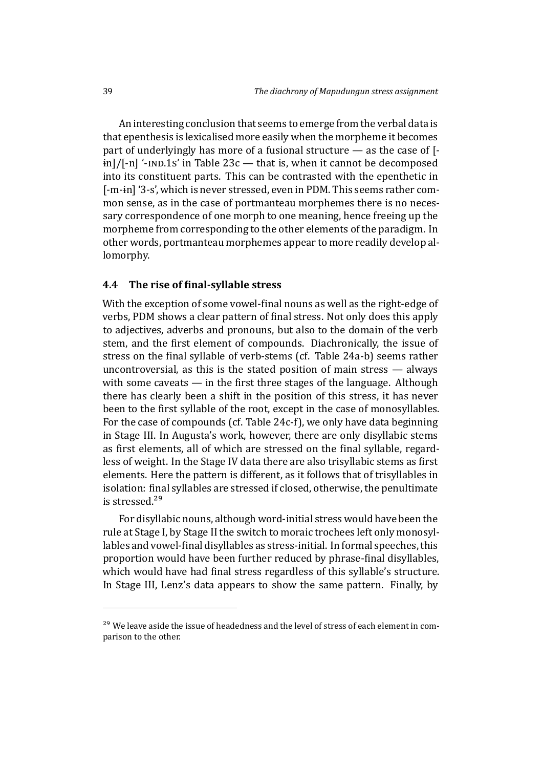An interesting conclusion that seems to emerge from the verbal data is that epenthesis is lexicalised more easily when the morpheme it becomes part of underlyingly has more of a fusional structure — as the case of [-  $\frac{1}{2}$  in]/[-n] '-IND.1S' in Table 23c — that is, when it cannot be decomposed into its constituent parts. This can be contrasted with the epenthetic in [-m-ɨn] '3-s', which is never stressed, even in PDM. This seems rather common sense, as in the case [of p](#page-37-1)ortmanteau morphemes there is no necessary correspondence of one morph to one meaning, hence freeing up the morpheme from corresponding to the other elements of the paradigm. In other words, portmanteau morphemes appear to more readily develop allomorphy.

#### **4.4** The rise of final-syllable stress

<span id="page-38-0"></span>With the exception of some vowel-final nouns as well as the right-edge of verbs, PDM shows a clear pattern of final stress. Not only does this apply to adjectives, adverbs and pronouns, but also to the domain of the verb stem, and the first element of compounds. Diachronically, the issue of stress on the final syllable of verb-stems (cf. Table 24a-b) seems rather uncontroversial, as this is the stated position of main stress — always with some caveats  $-$  in the first three stages of the language. Although there has clearly been a shift in the position of thi[s st](#page-39-0)ress, it has never been to the first syllable of the root, except in the case of monosyllables. For the case of compounds (cf. Table 24c-f), we only have data beginning in Stage III. In Augusta's work, however, there are only disyllabic stems as first elements, all of which are stressed on the final syllable, regardless of weight. In the Stage IV data th[ere](#page-39-0) are also trisyllabic stems as first elements. Here the pattern is different, as it follows that of trisyllables in isolation: final syllables are stressed if closed, otherwise, the penultimate is stressed.<sup>29</sup>

For disyllabic nouns, although word-initial stress would have been the rule at Stage I, by Stage II the switch to moraic trochees left only monosyllables and [vow](#page-38-1)el-final disyllables as stress-initial. In formal speeches, this proportion would have been further reduced by phrase-final disyllables, which would have had final stress regardless of this syllable's structure. In Stage III, Lenz's data appears to show the same pattern. Finally, by

<span id="page-38-1"></span><sup>&</sup>lt;sup>29</sup> We leave aside the issue of headedness and the level of stress of each element in comparison to the other.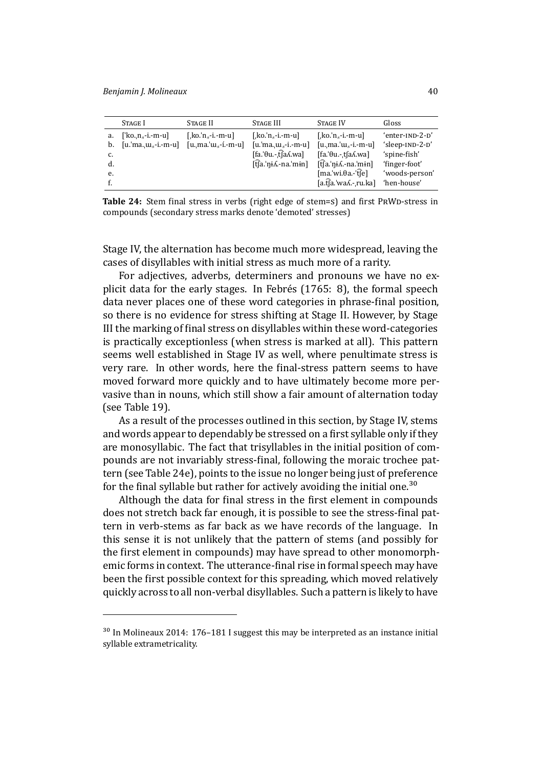|    | STAGE I                  | STAGE II                        | STAGE III                             | <b>STAGE IV</b>                        | Gloss           |
|----|--------------------------|---------------------------------|---------------------------------------|----------------------------------------|-----------------|
| a. | $\forall$ ko.n.s-i.-m-u] | [ $ko \nvert n_s - i - m - u$ ] | [ $ko \nvert n_s - i - m - u$ ]       | [, $ko$ , $n_s$ -i.-m-u]               | 'enter-IND-2-D' |
| b. | $[u, 'ma, u, -i, -m-u]$  | $[u, ma, 'u, -i, -m-u]$         | $[u, ma, u, -i, -m-u]$                | $[u, ma, 'u, -i, -m-u]$                | 'sleep-IND-2-D' |
| c. |                          |                                 | [fa.'θu.-.t͡faʎ.wa]                   | $[fa.\theta u. t[aA.wa]$               | 'spine-fish'    |
| d. |                          |                                 | $[\hat{t}]$ a.'ni $\Lambda$ -na.'min] | $[\hat{t}]$ a.'ni $\hat{A}$ .-na.'min] | 'finger-foot'   |
| e. |                          |                                 |                                       | $[ma(wi.0a - tfe)]$                    | 'woods-person'  |
|    |                          |                                 |                                       | $[a.f]a.'wa$ . ru.ka]                  | 'hen-house'     |

**Table 24:** Stem final stress in verbs (right edge of stem=s) and first PRWD-stress in compounds (secondary stress marks denote 'demoted' stresses)

<span id="page-39-0"></span>Stage IV, the alternation has become much more widespread, leaving the cases of disyllables with initial stress as much more of a rarity.

For adjectives, adverbs, determiners and pronouns we have no explicit data for the early stages. In Febrés (1765: 8), the formal speech data never places one of these word categories in phrase-final position, so there is no evidence for stress shifting at Stage II. However, by Stage III the marking of final stress on dis[yllables within](#page-46-9) these word-categories is practically exceptionless (when stress is marked at all). This pattern seems well established in Stage IV as well, where penultimate stress is very rare. In other words, here the final-stress pattern seems to have moved forward more quickly and to have ultimately become more pervasive than in nouns, which still show a fair amount of alternation today (see Table 19).

As a result of the processes outlined in this section, by Stage IV, stems and words appear to dependably be stressed on a first syllable only if they are monos[ylla](#page-34-0)bic. The fact that trisyllables in the initial position of compounds are not invariably stress-final, following the moraic trochee pattern (see Table 24e), points to the issue no longer being just of preference for the final syllable but rather for actively avoiding the initial one.<sup>30</sup>

Although the data for final stress in the first element in compounds does not stretc[h b](#page-39-0)ack far enough, it is possible to see the stress-final pattern in verb-stems as far back as we have records of the langua[ge](#page-39-1). In this sense it is not unlikely that the pattern of stems (and possibly for the first element in compounds) may have spread to other monomorphemic forms in context. The utterance-final rise in formal speech may have been the first possible context for this spreading, which moved relatively quickly across to all non-verbal disyllables. Such a pattern is likely to have

<span id="page-39-1"></span> $30$  In Molineaux 2014: 176-181 I suggest this may be interpreted as an instance initial syllable extrametricality.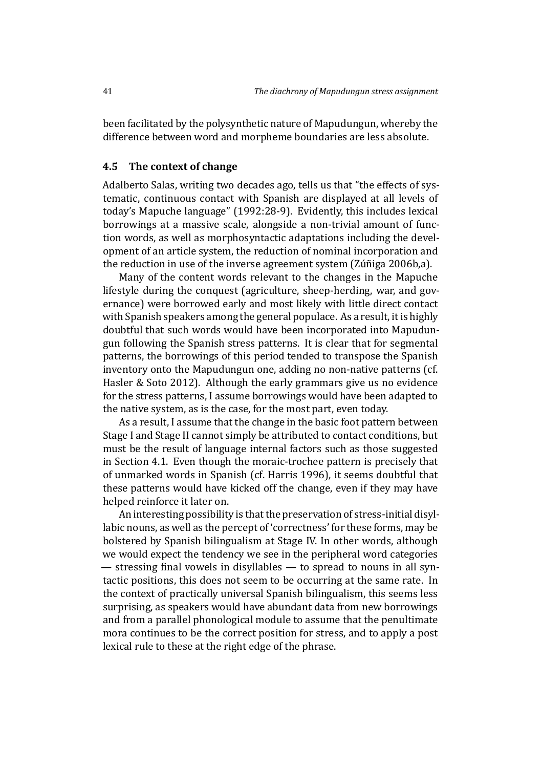been facilitated by the polysynthetic nature of Mapudungun, whereby the difference between word and morpheme boundaries are less absolute.

### **4.5 The context of change**

<span id="page-40-0"></span>Adalberto Salas, writing two decades ago, tells us that "the effects of systematic, continuous contact with Spanish are displayed at all levels of today's Mapuche language" (1992:28-9). Evidently, this includes lexical borrowings at a massive scale, alongside a non-trivial amount of function words, as well as morphosyntactic adaptations including the development of an article system, [the re](#page-48-1)duction of nominal incorporation and the reduction in use of the inverse agreement system (Zúñiga 2006b,a).

Many of the content words relevant to the changes in the Mapuche lifestyle during the conquest (agriculture, sheep-herding, war, and governance) were borrowed early and most likely with l[ittle direct con](#page-49-1)[ta](#page-49-10)ct with Spanish speakers among the general populace. As a result, it is highly doubtful that such words would have been incorporated into Mapudungun following the Spanish stress patterns. It is clear that for segmental patterns, the borrowings of this period tended to transpose the Spanish inventory onto the Mapudungun one, adding no non-native patterns (cf. Hasler & Soto 2012). Although the early grammars give us no evidence for the stress patterns, I assume borrowings would have been adapted to the native system, as is the case, for the most part, even today.

[As a result, I assu](#page-46-10)me that the change in the basic foot pattern between Stage I and Stage II cannot simply be attributed to contact conditions, but must be the result of language internal factors such as those suggested in Section 4.1. Even though the moraic-trochee pattern is precisely that of unmarked words in Spanish (cf. Harris 1996), it seems doubtful that these patterns would have kicked off the change, even if they may have helped rei[nfor](#page-33-1)ce it later on.

An interesting possibility is that [the preservat](#page-46-11)ion of stress-initial disyllabic nouns, as well as the percept of 'correctness' for these forms, may be bolstered by Spanish bilingualism at Stage IV. In other words, although we would expect the tendency we see in the peripheral word categories — stressing final vowels in disyllables — to spread to nouns in all syntactic positions, this does not seem to be occurring at the same rate. In the context of practically universal Spanish bilingualism, this seems less surprising, as speakers would have abundant data from new borrowings and from a parallel phonological module to assume that the penultimate mora continues to be the correct position for stress, and to apply a post lexical rule to these at the right edge of the phrase.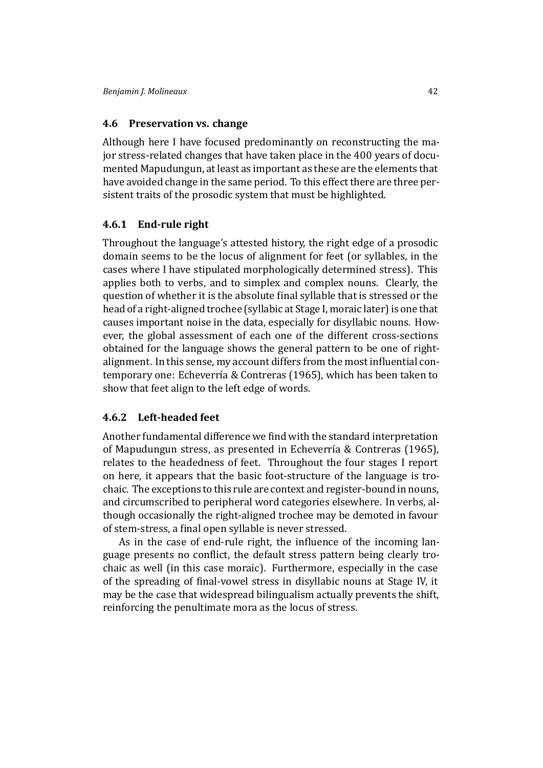### **4.6 Preservation vs. change**

Although here I have focused predominantly on reconstructing the major stress-related changes that have taken place in the 400 years of documented Mapudungun, at least as important as these are the elements that have avoided change in the same period. To this effect there are three persistent traits of the prosodic system that must be highlighted.

### **4.6.1 End-rule right**

Throughout the language's attested history, the right edge of a prosodic domain seems to be the locus of alignment for feet (or syllables, in the cases where I have stipulated morphologically determined stress). This applies both to verbs, and to simplex and complex nouns. Clearly, the question of whether it is the absolute final syllable that is stressed or the head of a right-aligned trochee (syllabic at Stage I, moraic later) is one that causes important noise in the data, especially for disyllabic nouns. However, the global assessment of each one of the different cross-sections obtained for the language shows the general pattern to be one of rightalignment. In this sense, my account differs from the most influential contemporary one: Echeverría & Contreras (1965), which has been taken to show that feet align to the left edge of words.

### **4.6.2 Left-he[aded feet](#page-46-0)**

Another fundamental difference we find with the standard interpretation of Mapudungun stress, as presented in Echeverría & Contreras (1965), relates to the headedness of feet. Throughout the four stages I report on here, it appears that the basic foot-structure of the language is trochaic. The exceptions to this rule are con[text and register-bound in nouns](#page-46-0), and circumscribed to peripheral word categories elsewhere. In verbs, although occasionally the right-aligned trochee may be demoted in favour of stem-stress, a final open syllable is never stressed.

As in the case of end-rule right, the influence of the incoming language presents no conflict, the default stress pattern being clearly trochaic as well (in this case moraic). Furthermore, especially in the case of the spreading of final-vowel stress in disyllabic nouns at Stage IV, it may be the case that widespread bilingualism actually prevents the shift, reinforcing the penultimate mora as the locus of stress.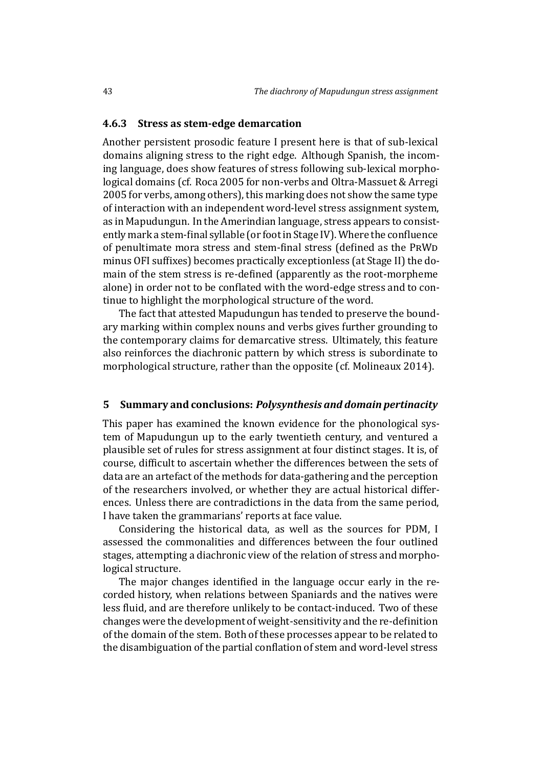#### **4.6.3 Stress as stem-edge demarcation**

Another persistent prosodic feature I present here is that of sub-lexical domains aligning stress to the right edge. Although Spanish, the incoming language, does show features of stress following sub-lexical morphological domains (cf. Roca 2005 for non-verbs and Oltra-Massuet & Arregi 2005 for verbs, among others), this marking does not show the same type of interaction with an independent word-level stress assignment system, as in Mapudungun. [In the Amer](#page-48-8)indian language, s[tress appears to consist](#page-48-9)[ently](#page-48-9) mark a stem-final syllable (or foot in Stage IV). Where the confluence of penultimate mora stress and stem-final stress (defined as the PRWD minus OFI suffixes) becomes practically exceptionless (at Stage II) the domain of the stem stress is re-defined (apparently as the root-morpheme alone) in order not to be conflated with the word-edge stress and to continue to highlight the morphological structure of the word.

The fact that attested Mapudungun has tended to preserve the boundary marking within complex nouns and verbs gives further grounding to the contemporary claims for demarcative stress. Ultimately, this feature also reinforces the diachronic pattern by which stress is subordinate to morphological structure, rather than the opposite (cf. Molineaux 2014).

#### **5 Summary and conclusions:** *Polysynthesis and d[omain pertinaci](#page-47-9)ty*

<span id="page-42-0"></span>This paper has examined the known evidence for the phonological system of Mapudungun up to the early twentieth century, and ventured a plausible set of rules for stress assignment at four distinct stages. It is, of course, difficult to ascertain whether the differences between the sets of data are an artefact of the methods for data-gathering and the perception of the researchers involved, or whether they are actual historical differences. Unless there are contradictions in the data from the same period, I have taken the grammarians' reports at face value.

Considering the historical data, as well as the sources for PDM, I assessed the commonalities and differences between the four outlined stages, attempting a diachronic view of the relation of stress and morphological structure.

The major changes identified in the language occur early in the recorded history, when relations between Spaniards and the natives were less fluid, and are therefore unlikely to be contact-induced. Two of these changes were the development of weight-sensitivity and the re-definition of the domain of the stem. Both of these processes appear to be related to the disambiguation of the partial conflation of stem and word-level stress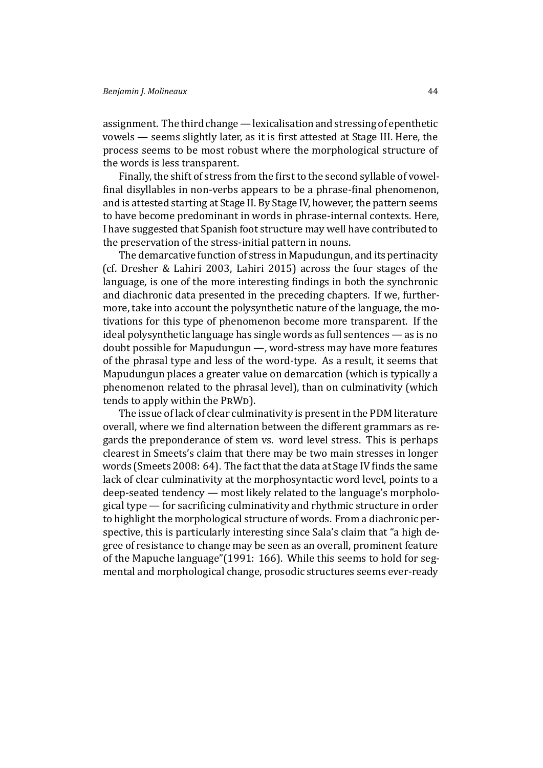#### *Benjamin J. Molineaux* 44

assignment. The third change— lexicalisation and stressing of epenthetic vowels — seems slightly later, as it is first attested at Stage III. Here, the process seems to be most robust where the morphological structure of the words is less transparent.

Finally, the shift of stress from the first to the second syllable of vowelfinal disyllables in non-verbs appears to be a phrase-final phenomenon, and is attested starting at Stage II. By Stage IV, however, the pattern seems to have become predominant in words in phrase-internal contexts. Here, I have suggested that Spanish foot structure may well have contributed to the preservation of the stress-initial pattern in nouns.

The demarcative function of stress in Mapudungun, and its pertinacity (cf. Dresher & Lahiri 2003, Lahiri 2015) across the four stages of the language, is one of the more interesting findings in both the synchronic and diachronic data presented in the preceding chapters. If we, furthermo[re, take into account the](#page-45-8) [polysynthetic](#page-47-16) nature of the language, the motivations for this type of phenomenon become more transparent. If the ideal polysynthetic language has single words as full sentences — as is no doubt possible for Mapudungun —, word-stress may have more features of the phrasal type and less of the word-type. As a result, it seems that Mapudungun places a greater value on demarcation (which is typically a phenomenon related to the phrasal level), than on culminativity (which tends to apply within the PRWD).

The issue of lack of clear culminativity is present in the PDM literature overall, where we find alternation between the different grammars as regards the preponderance of stem vs. word level stress. This is perhaps clearest in Smeets's claim that there may be two main stresses in longer words (Smeets 2008: 64). The fact that the data at Stage IV finds the same lack of clear culminativity at the morphosyntactic word level, points to a deep-seated tendency — most likely related to the language's morphological ty[pe — for sacr](#page-49-2)ificing culminativity and rhythmic structure in order to highlight the morphological structure of words. From a diachronic perspective, this is particularly interesting since Sala's claim that "a high degree of resistance to change may be seen as an overall, prominent feature of the Mapuche language"(1991: 166). While this seems to hold for segmental and morphological change, prosodic structures seems ever-ready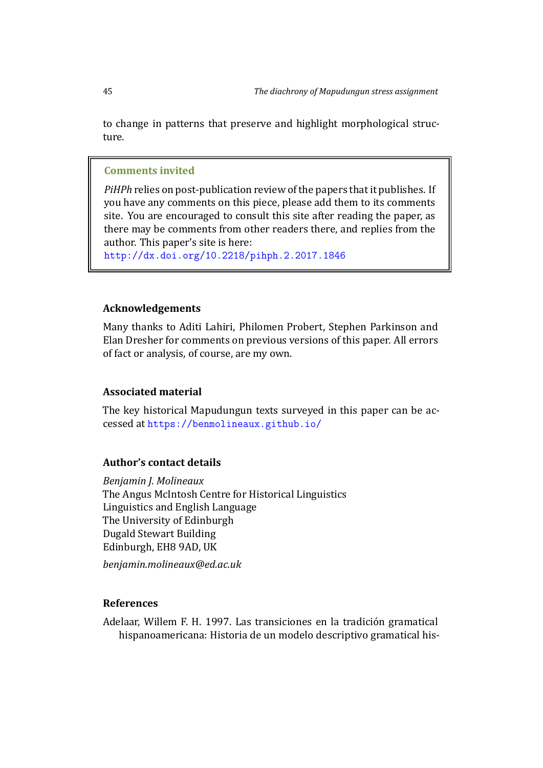to change in patterns that preserve and highlight morphological structure.

#### **Comments invited**

*PiHPh* relies on post-publication review of the papers that it publishes. If you have any comments on this piece, please add them to its comments site. You are encouraged to consult this site after reading the paper, as there may be comments from other readers there, and replies from the author. This paper's site is here:

http://dx.doi.org/10.2218/pihph.2.2017.1846

### **[Acknowledgements](http://dx.doi.org/10.2218/pihph.2.2017.1846)**

Many thanks to Aditi Lahiri, Philomen Probert, Stephen Parkinson and Elan Dresher for comments on previous versions of this paper. All errors of fact or analysis, of course, are my own.

#### **Associated material**

The key historical Mapudungun texts surveyed in this paper can be accessed at https://benmolineaux.github.io/

### **Author's [contact details](https://benmolineaux.github.io/)**

*Benjamin J. Molineaux* The Angus McIntosh Centre for Historical Linguistics Linguistics and English Language The University of Edinburgh Dugald Stewart Building Edinburgh, EH8 9AD, UK

*benjamin.molineaux@ed.ac.uk*

#### **References**

Adelaar, Willem F. H. 1997. Las transiciones en la tradición gramatical hispanoamericana: Historia de un modelo descriptivo gramatical his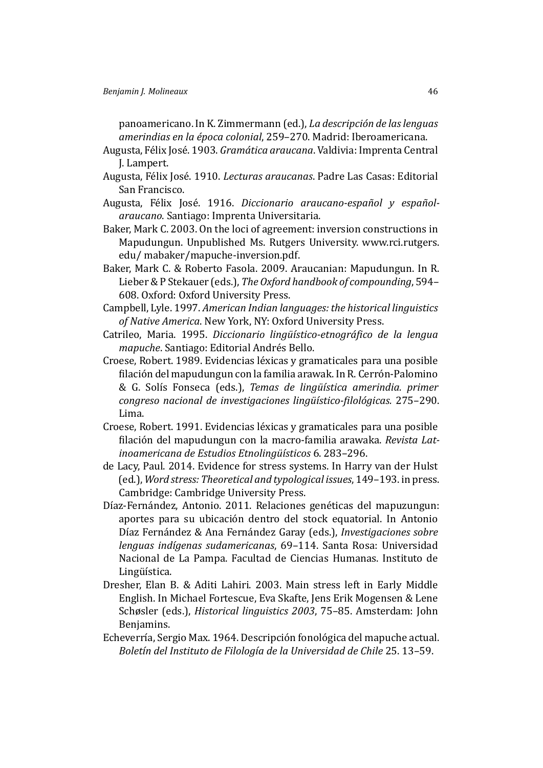panoamericano. In K. Zimmermann (ed.), *La descripción de las lenguas amerindias en la época colonial*, 259–270. Madrid: Iberoamericana.

- <span id="page-45-3"></span>Augusta, Félix José. 1903. *Gramática araucana*. Valdivia: Imprenta Central J. Lampert.
- <span id="page-45-6"></span>Augusta, Félix José. 1910. *Lecturas araucanas*. Padre Las Casas: Editorial San Francisco.
- <span id="page-45-7"></span>Augusta, Félix José. 1916. *Diccionario araucano-español y españolaraucano*. Santiago: Imprenta Universitaria.
- <span id="page-45-5"></span>Baker, Mark C. 2003. On the loci of agreement: inversion constructions in Mapudungun. Unpublished Ms. Rutgers University. www.rci.rutgers. edu/ mabaker/mapuche-inversion.pdf.
- <span id="page-45-4"></span>Baker, Mark C. & Roberto Fasola. 2009. Araucanian: Mapudungun. In R. Lieber & P Stekauer (eds.), *The Oxford handbook of compounding*, 594– 608. Oxford: Oxford University Press.
- Campbell, Lyle. 1997. *American Indian languages: the historical linguistics of Native America*. New York, NY: Oxford University Press.
- <span id="page-45-2"></span>Catrileo, Maria, 1995. *Diccionario lingüístico-etnográfico de la lengua mapuche*. Santiago: Editorial Andrés Bello.
- Croese, Robert. 1989. Evidencias léxicas y gramaticales para una posible filación del mapudungun con la familia arawak. In R. Cerrón-Palomino & G. Solís Fonseca (eds.), *Temas de lingüı́stica amerindia. primer congreso nacional de investigaciones lingüı́stico-ϔilológicas.* 275–290. Lima.
- Croese, Robert. 1991. Evidencias léxicas y gramaticales para una posible ϐilación del mapudungun con la macro-familia arawaka. *Revista Latinoamericana de Estudios Etnolingüı́sticos* 6. 283–296.
- <span id="page-45-0"></span>de Lacy, Paul. 2014. Evidence for stress systems. In Harry van der Hulst (ed.), *Word stress: Theoretical and typological issues*, 149–193. in press. Cambridge: Cambridge University Press.
- Díaz-Fernández, Antonio. 2011. Relaciones genéticas del mapuzungun: aportes para su ubicación dentro del stock equatorial. In Antonio Dı́az Fernández & Ana Fernández Garay (eds.), *Investigaciones sobre lenguas indı́genas sudamericanas*, 69–114. Santa Rosa: Universidad Nacional de La Pampa. Facultad de Ciencias Humanas. Instituto de Lingüística.
- <span id="page-45-8"></span>Dresher, Elan B. & Aditi Lahiri. 2003. Main stress left in Early Middle English. In Michael Fortescue, Eva Skafte, Jens Erik Mogensen & Lene Schøsler (eds.), *Historical linguistics 2003*, 75–85. Amsterdam: John Benjamins.
- <span id="page-45-1"></span>Echeverría, Sergio Max. 1964. Descripción fonológica del mapuche actual. *Boletı́n del Instituto de Filologı́a de la Universidad de Chile* 25. 13–59.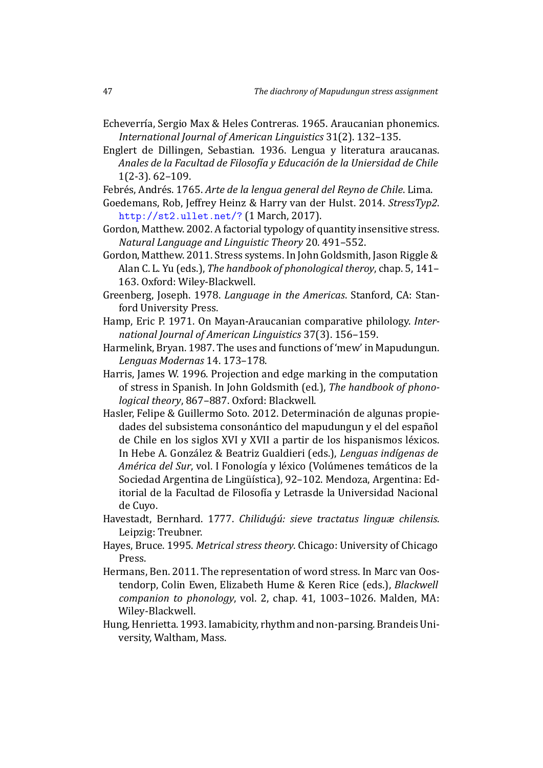- Echeverría, Sergio Max & Heles Contreras. 1965. Araucanian phonemics. *International Journal of American Linguistics* 31(2). 132–135.
- <span id="page-46-0"></span>Englert de Dillingen, Sebastian. 1936. Lengua y literatura araucanas. *Anales de la Facultad de Filosofı́a y Educación de la Uniersidad de Chile* 1(2-3). 62–109.
- <span id="page-46-7"></span>Febrés, Andrés. 1765. *Arte de la lengua general del Reyno de Chile*. Lima.
- Goedemans, Rob, Jeffrey Heinz & Harry van der Hulst. 2014. *StressTyp2*. http://st2.ullet.net/? (1 March, 2017).
- <span id="page-46-9"></span>Gordon, Matthew. 2002. A factorial typology of quantity insensitive stress. *Natural Language and Linguistic Theory* 20. 491–552.
- <span id="page-46-6"></span><span id="page-46-3"></span>Go[rdon, Matthew. 2011. Stress](http://st2.ullet.net/?) systems. In John Goldsmith, Jason Riggle & Alan C. L. Yu (eds.), *The handbook of phonological theroy*, chap. 5, 141– 163. Oxford: Wiley-Blackwell.
- <span id="page-46-4"></span>Greenberg, Joseph. 1978. *Language in the Americas*. Stanford, CA: Stanford University Press.
- Hamp, Eric P. 1971. On Mayan-Araucanian comparative philology. *International Journal of American Linguistics* 37(3). 156–159.
- Harmelink, Bryan. 1987. The uses and functions of 'mew' in Mapudungun. *Lenguas Modernas* 14. 173–178.
- Harris, James W. 1996. Projection and edge marking in the computation of stress in Spanish. In John Goldsmith (ed.), *The handbook of phonological theory*, 867–887. Oxford: Blackwell.
- <span id="page-46-11"></span><span id="page-46-10"></span>Hasler, Felipe & Guillermo Soto. 2012. Determinación de algunas propiedades del subsistema consonántico del mapudungun y el del español de Chile en los siglos XVI y XVII a partir de los hispanismos léxicos. In Hebe A. González & Beatriz Gualdieri (eds.), *Lenguas indı́genas de América del Sur*, vol. I Fonología y léxico (Volúmenes temáticos de la Sociedad Argentina de Lingüística), 92–102. Mendoza, Argentina: Editorial de la Facultad de Filosofı́a y Letrasde la Universidad Nacional de Cuyo.
- Havestadt, Bernhard. 1777. *Chiliduǵú: sieve tractatus linguæ chilensis*. Leipzig: Treubner.
- Hayes, Bruce. 1995. *Metrical stress theory*. Chicago: University of Chicago Press.
- <span id="page-46-8"></span><span id="page-46-2"></span>Hermans, Ben. 2011. The representation of word stress. In Marc van Oostendorp, Colin Ewen, Elizabeth Hume & Keren Rice (eds.), *Blackwell companion to phonology*, vol. 2, chap. 41, 1003–1026. Malden, MA: Wiley-Blackwell.
- <span id="page-46-5"></span><span id="page-46-1"></span>Hung, Henrietta. 1993. Iamabicity, rhythm and non-parsing. Brandeis University, Waltham, Mass.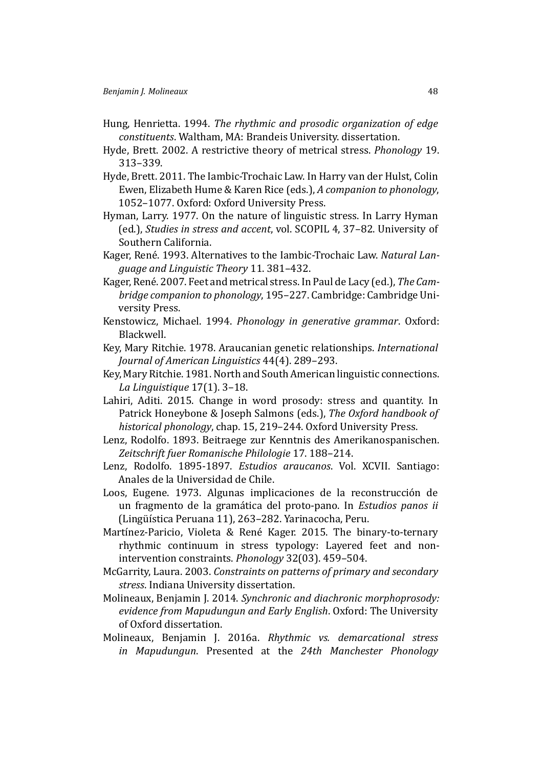- <span id="page-47-3"></span>Hung, Henrietta. 1994. *The rhythmic and prosodic organization of edge constituents*. Waltham, MA: Brandeis University. dissertation.
- <span id="page-47-5"></span>Hyde, Brett. 2002. A restrictive theory of metrical stress. *Phonology* 19. 313–339.
- <span id="page-47-6"></span>Hyde, Brett. 2011. The Iambic-Trochaic Law. In Harry van der Hulst, Colin Ewen, Elizabeth Hume & Karen Rice (eds.), *A companion to phonology*, 1052–1077. Oxford: Oxford University Press.
- <span id="page-47-0"></span>Hyman, Larry. 1977. On the nature of linguistic stress. In Larry Hyman (ed.), *Studies in stress and accent*, vol. SCOPIL 4, 37–82. University of Southern California.
- <span id="page-47-1"></span>Kager, René. 1993. Alternatives to the Iambic-Trochaic Law. *Natural Language and Linguistic Theory* 11. 381–432.
- <span id="page-47-2"></span>Kager, René. 2007. Feet and metrical stress. In Paul de Lacy (ed.), *The Cambridge companion to phonology*, 195–227. Cambridge: Cambridge University Press.
- <span id="page-47-4"></span>Kenstowicz, Michael. 1994. *Phonology in generative grammar*. Oxford: Blackwell.
- <span id="page-47-12"></span>Key, Mary Ritchie. 1978. Araucanian genetic relationships. *International Journal of American Linguistics* 44(4). 289–293.
- <span id="page-47-13"></span>Key, Mary Ritchie. 1981. North and South American linguistic connections. *La Linguistique* 17(1). 3–18.
- <span id="page-47-16"></span>Lahiri, Aditi. 2015. Change in word prosody: stress and quantity. In Patrick Honeybone & Joseph Salmons (eds.), *The Oxford handbook of historical phonology*, chap. 15, 219–244. Oxford University Press.
- <span id="page-47-15"></span>Lenz, Rodolfo. 1893. Beitraege zur Kenntnis des Amerikanospanischen. *Zeitschrift fuer Romanische Philologie* 17. 188–214.
- <span id="page-47-14"></span>Lenz, Rodolfo. 1895-1897. *Estudios araucanos*. Vol. XCVII. Santiago: Anales de la Universidad de Chile.
- <span id="page-47-11"></span>Loos, Eugene. 1973. Algunas implicaciones de la reconstrucción de un fragmento de la gramática del proto-pano. In *Estudios panos ii* (Lingüı́stica Peruana 11), 263–282. Yarinacocha, Peru.
- <span id="page-47-8"></span>Martínez-Paricio, Violeta & René Kager. 2015. The binary-to-ternary rhythmic continuum in stress typology: Layered feet and nonintervention constraints. *Phonology* 32(03). 459–504.
- <span id="page-47-7"></span>McGarrity, Laura. 2003. *Constraints on patterns of primary and secondary stress*. Indiana University dissertation.
- <span id="page-47-9"></span>Molineaux, Benjamin J. 2014. *Synchronic and diachronic morphoprosody: evidence from Mapudungun and Early English*. Oxford: The University of Oxford dissertation.
- <span id="page-47-10"></span>Molineaux, Benjamin J. 2016a. *Rhythmic vs. demarcational stress in Mapudungun*. Presented at the *24th Manchester Phonology*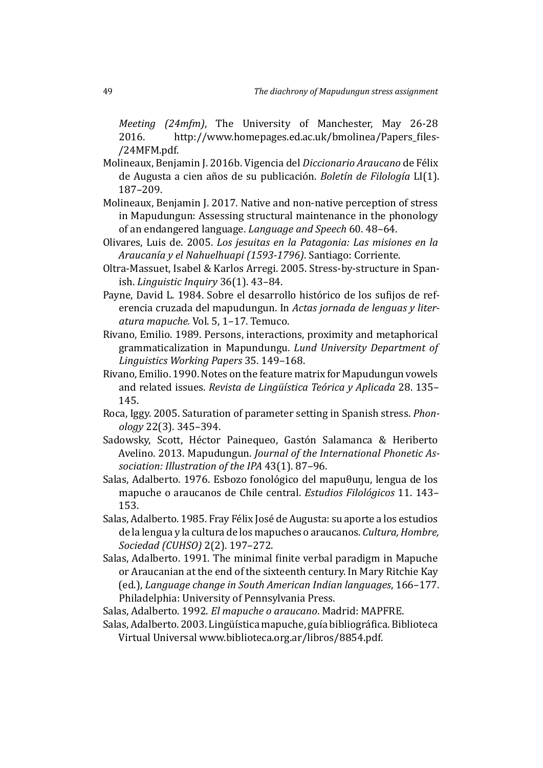*Meeting (24mfm)*, The University of Manchester, May 26-28 2016. http://www.homepages.ed.ac.uk/bmolinea/Papers files-/24MFM.pdf.

- <span id="page-48-7"></span>Molineaux, Benjamin J. 2016b. Vigencia del *Diccionario Araucano* de Félix de Augusta a cien años de su publicación. *Boletín de Filología* LI(1). 187–209.
- <span id="page-48-5"></span>Molineaux, Benjamin J. 2017. Native and non-native perception of stress in Mapudungun: Assessing structural maintenance in the phonology of an endangered language. *Language and Speech* 60. 48–64.
- <span id="page-48-4"></span>Olivares, Luis de. 2005. *Los jesuitas en la Patagonia: Las misiones en la Araucanı́a y el Nahuelhuapi (1593-1796)*. Santiago: Corriente.
- <span id="page-48-9"></span>Oltra-Massuet, Isabel & Karlos Arregi. 2005. Stress-by-structure in Spanish. *Linguistic Inquiry* 36(1). 43–84.
- Payne, David L. 1984. Sobre el desarrollo histórico de los sufijos de referencia cruzada del mapudungun. In *Actas jornada de lenguas y literatura mapuche.* Vol. 5, 1–17. Temuco.
- <span id="page-48-3"></span>Rivano, Emilio. 1989. Persons, interactions, proximity and metaphorical grammaticalization in Mapundungu. *Lund University Department of Linguistics Working Papers* 35. 149–168.
- Rivano, Emilio. 1990. Notes on the feature matrix for Mapudungun vowels and related issues. *Revista de Lingüı́stica Teórica y Aplicada* 28. 135– 145.
- <span id="page-48-8"></span>Roca, Iggy. 2005. Saturation of parameter setting in Spanish stress. *Phonology* 22(3). 345–394.
- <span id="page-48-2"></span>Sadowsky, Scott, Héctor Painequeo, Gastón Salamanca & Heriberto Avelino. 2013. Mapudungun. *Journal of the International Phonetic Association: Illustration of the IPA* 43(1). 87–96.
- <span id="page-48-0"></span>Salas, Adalberto. 1976. Esbozo fonológico del mapuθuŋu, lengua de los mapuche o araucanos de Chile central. *Estudios Filológicos* 11. 143– 153.
- <span id="page-48-6"></span>Salas, Adalberto. 1985. Fray Félix José de Augusta: su aporte a los estudios de la lengua y la cultura de los mapuches o araucanos. *Cultura, Hombre, Sociedad (CUHSO)* 2(2). 197–272.
- Salas, Adalberto. 1991. The minimal finite verbal paradigm in Mapuche or Araucanian at the end of the sixteenth century. In Mary Ritchie Kay (ed.), *Language change in South American Indian languages*, 166–177. Philadelphia: University of Pennsylvania Press.
- <span id="page-48-1"></span>Salas, Adalberto. 1992. *El mapuche o araucano*. Madrid: MAPFRE.
- Salas, Adalberto, 2003. Lingüística mapuche, guía bibliográfica, Biblioteca Virtual Universal www.biblioteca.org.ar/libros/8854.pdf.